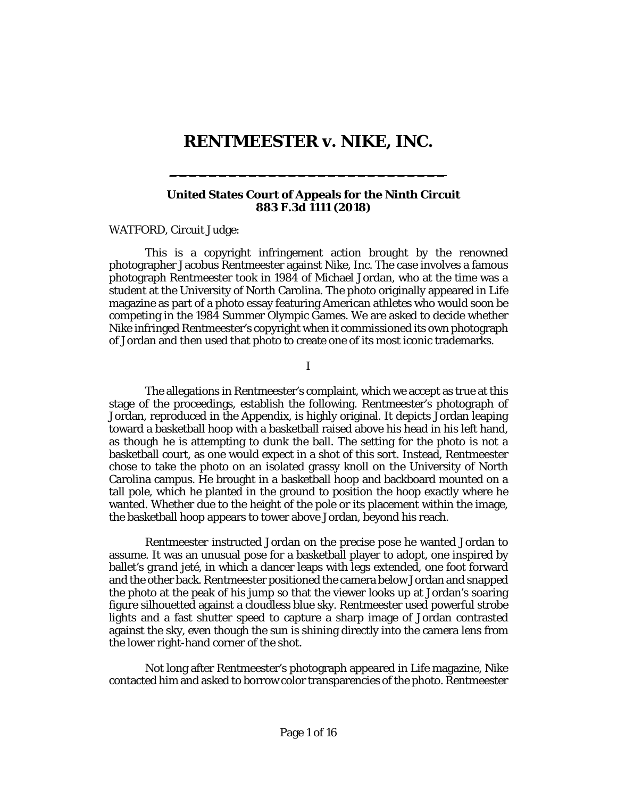## **RENTMEESTER v. NIKE, INC.**

**\_\_\_\_\_\_\_\_\_\_\_\_\_\_\_\_\_\_\_\_\_\_\_\_\_\_\_\_**

#### **United States Court of Appeals for the Ninth Circuit 883 F.3d 1111 (2018)**

[WATFORD,](http://www.westlaw.com/Link/Document/FullText?findType=h&pubNum=176284&cite=0322080001&originatingDoc=Ifed6ff401bdf11e891a4cc39e61c2da0&refType=RQ&originationContext=document&vr=3.0&rs=cblt1.0&transitionType=DocumentItem&contextData=(sc.Search)) Circuit Judge:

This is a copyright infringement action brought by the renowned photographer Jacobus Rentmeester against Nike, Inc. The case involves a famous photograph Rentmeester took in 1984 of Michael Jordan, who at the time was a student at the University of North Carolina. The photo originally appeared in *Life* magazine as part of a photo essay featuring American athletes who would soon be competing in the 1984 Summer Olympic Games. We are asked to decide whether Nike infringed Rentmeester's copyright when it commissioned its own photograph of Jordan and then used that photo to create one of its most iconic trademarks.

I

The allegations in Rentmeester's complaint, which we accept as true at this stage of the proceedings, establish the following. Rentmeester's photograph of Jordan, reproduced in the Appendix, is highly original. It depicts Jordan leaping toward a basketball hoop with a basketball raised above his head in his left hand, as though he is attempting to dunk the ball. The setting for the photo is not a basketball court, as one would expect in a shot of this sort. Instead, Rentmeester chose to take the photo on an isolated grassy knoll on the University of North Carolina campus. He brought in a basketball hoop and backboard mounted on a tall pole, which he planted in the ground to position the hoop exactly where he wanted. Whether due to the height of the pole or its placement within the image, the basketball hoop appears to tower above Jordan, beyond his reach.

Rentmeester instructed Jordan on the precise pose he wanted Jordan to assume. It was an unusual pose for a basketball player to adopt, one inspired by ballet's *grand jeté*, in which a dancer leaps with legs extended, one foot forward and the other back. Rentmeester positioned the camera below Jordan and snapped the photo at the peak of his jump so that the viewer looks up at Jordan's soaring figure silhouetted against a cloudless blue sky. Rentmeester used powerful strobe lights and a fast shutter speed to capture a sharp image of Jordan contrasted against the sky, even though the sun is shining directly into the camera lens from the lower right-hand corner of the shot.

Not long after Rentmeester's photograph appeared in *Life* magazine, Nike contacted him and asked to borrow color transparencies of the photo. Rentmeester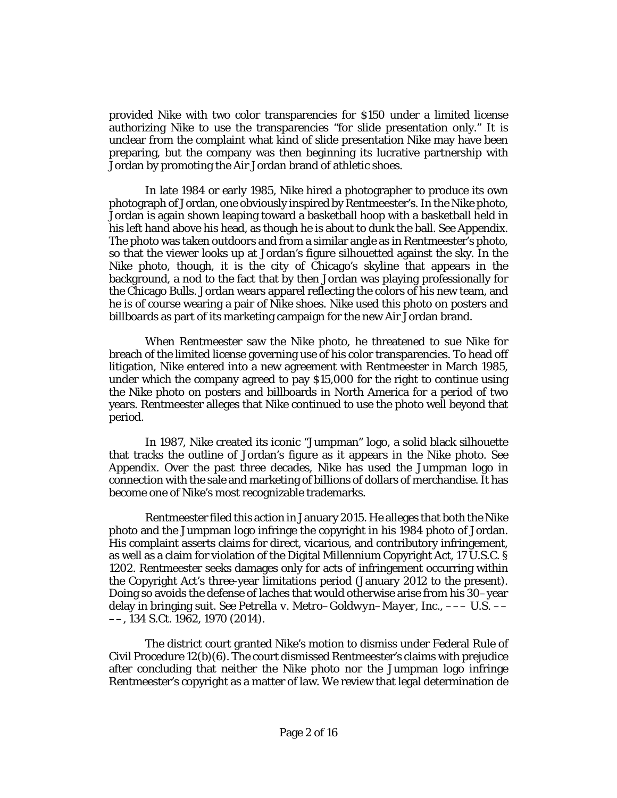provided Nike with two color transparencies for \$150 under a limited license authorizing Nike to use the transparencies "for slide presentation only." It is unclear from the complaint what kind of slide presentation Nike may have been preparing, but the company was then beginning its lucrative partnership with Jordan by promoting the Air Jordan brand of athletic shoes.

In late 1984 or early 1985, Nike hired a photographer to produce its own photograph of Jordan, one obviously inspired by Rentmeester's. In the Nike photo, Jordan is again shown leaping toward a basketball hoop with a basketball held in his left hand above his head, as though he is about to dunk the ball. *See* Appendix. The photo was taken outdoors and from a similar angle as in Rentmeester's photo, so that the viewer looks up at Jordan's figure silhouetted against the sky. In the Nike photo, though, it is the city of Chicago's skyline that appears in the background, a nod to the fact that by then Jordan was playing professionally for the Chicago Bulls. Jordan wears apparel reflecting the colors of his new team, and he is of course wearing a pair of Nike shoes. Nike used this photo on posters and billboards as part of its marketing campaign for the new Air Jordan brand.

When Rentmeester saw the Nike photo, he threatened to sue Nike for breach of the limited license governing use of his color transparencies. To head off litigation, Nike entered into a new agreement with Rentmeester in March 1985, under which the company agreed to pay \$15,000 for the right to continue using the Nike photo on posters and billboards in North America for a period of two years. Rentmeester alleges that Nike continued to use the photo well beyond that period.

In 1987, Nike created its iconic "Jumpman" logo, a solid black silhouette that tracks the outline of Jordan's figure as it appears in the Nike photo. *See* Appendix. Over the past three decades, Nike has used the Jumpman logo in connection with the sale and marketing of billions of dollars of merchandise. It has become one of Nike's most recognizable trademarks.

Rentmeester filed this action in January 2015. He alleges that both the Nike photo and the Jumpman logo infringe the copyright in his 1984 photo of Jordan. His complaint asserts claims for direct, vicarious, and contributory infringement, as well as a claim for violation of the Digital Millennium Copyright Act[, 17 U.S.C. §](http://www.westlaw.com/Link/Document/FullText?findType=L&pubNum=1000546&cite=17USCAS1202&originatingDoc=Ifed6ff401bdf11e891a4cc39e61c2da0&refType=LQ&originationContext=document&vr=3.0&rs=cblt1.0&transitionType=DocumentItem&contextData=(sc.Search))  [1202.](http://www.westlaw.com/Link/Document/FullText?findType=L&pubNum=1000546&cite=17USCAS1202&originatingDoc=Ifed6ff401bdf11e891a4cc39e61c2da0&refType=LQ&originationContext=document&vr=3.0&rs=cblt1.0&transitionType=DocumentItem&contextData=(sc.Search)) Rentmeester seeks damages only for acts of infringement occurring within the Copyright Act's three-year limitations period (January 2012 to the present). Doing so avoids the defense of laches that would otherwise arise from his 30–year delay in bringing suit. *See [Petrella v. Metro–Goldwyn–Mayer, Inc.](http://www.westlaw.com/Link/Document/FullText?findType=Y&serNum=2033403958&pubNum=0000708&originatingDoc=Ifed6ff401bdf11e891a4cc39e61c2da0&refType=RP&fi=co_pp_sp_708_1970&originationContext=document&vr=3.0&rs=cblt1.0&transitionType=DocumentItem&contextData=(sc.Search)#co_pp_sp_708_1970)*, ––– U.S. –– [––, 134 S.Ct. 1962, 1970](http://www.westlaw.com/Link/Document/FullText?findType=Y&serNum=2033403958&pubNum=0000708&originatingDoc=Ifed6ff401bdf11e891a4cc39e61c2da0&refType=RP&fi=co_pp_sp_708_1970&originationContext=document&vr=3.0&rs=cblt1.0&transitionType=DocumentItem&contextData=(sc.Search)#co_pp_sp_708_1970) (2014).

The district court granted Nike's motion to dismiss under [Federal Rule of](http://www.westlaw.com/Link/Document/FullText?findType=L&pubNum=1000600&cite=USFRCPR12&originatingDoc=Ifed6ff401bdf11e891a4cc39e61c2da0&refType=LQ&originationContext=document&vr=3.0&rs=cblt1.0&transitionType=DocumentItem&contextData=(sc.Search))  [Civil Procedure 12\(b\)\(6\).](http://www.westlaw.com/Link/Document/FullText?findType=L&pubNum=1000600&cite=USFRCPR12&originatingDoc=Ifed6ff401bdf11e891a4cc39e61c2da0&refType=LQ&originationContext=document&vr=3.0&rs=cblt1.0&transitionType=DocumentItem&contextData=(sc.Search)) The court dismissed Rentmeester's claims with prejudice after concluding that neither the Nike photo nor the Jumpman logo infringe Rentmeester's copyright as a matter of law. We review that legal determination *de*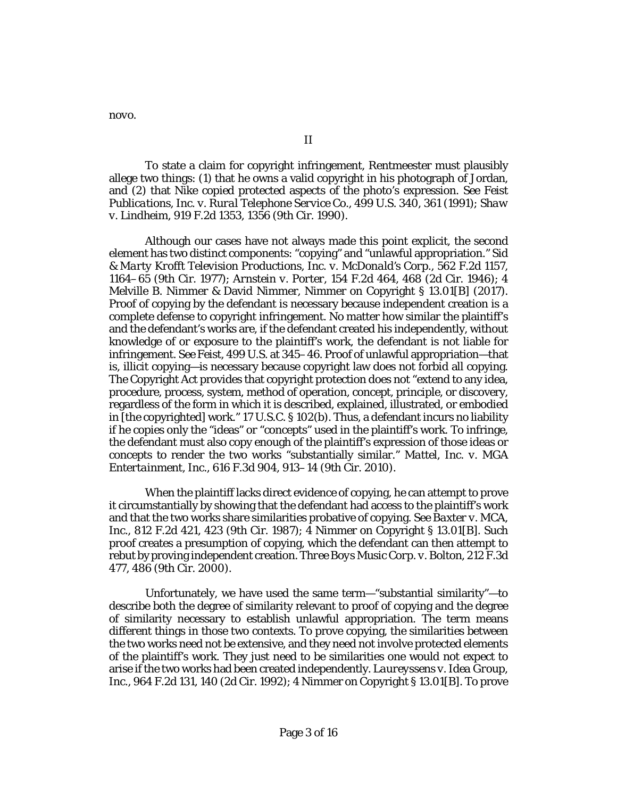*novo*.

II

To state a claim for copyright infringement, Rentmeester must plausibly allege two things: (1) that he owns a valid copyright in his photograph of Jordan, and (2) that Nike copied protected aspects of the photo's expression. *See [Feist](http://www.westlaw.com/Link/Document/FullText?findType=Y&serNum=1991060551&pubNum=0000708&originatingDoc=Ifed6ff401bdf11e891a4cc39e61c2da0&refType=RP&originationContext=document&vr=3.0&rs=cblt1.0&transitionType=DocumentItem&contextData=(sc.Search))  [Publications, Inc. v. Rural Telephone Service Co.](http://www.westlaw.com/Link/Document/FullText?findType=Y&serNum=1991060551&pubNum=0000708&originatingDoc=Ifed6ff401bdf11e891a4cc39e61c2da0&refType=RP&originationContext=document&vr=3.0&rs=cblt1.0&transitionType=DocumentItem&contextData=(sc.Search))*, 499 U.S. 340, 361 (1991); *[Shaw](http://www.westlaw.com/Link/Document/FullText?findType=Y&serNum=1990166741&pubNum=0000350&originatingDoc=Ifed6ff401bdf11e891a4cc39e61c2da0&refType=RP&fi=co_pp_sp_350_1356&originationContext=document&vr=3.0&rs=cblt1.0&transitionType=DocumentItem&contextData=(sc.Search)#co_pp_sp_350_1356)  v. Lindheim*, 919 [F.2d 1353, 1356 \(9th Cir. 1990\).](http://www.westlaw.com/Link/Document/FullText?findType=Y&serNum=1990166741&pubNum=0000350&originatingDoc=Ifed6ff401bdf11e891a4cc39e61c2da0&refType=RP&fi=co_pp_sp_350_1356&originationContext=document&vr=3.0&rs=cblt1.0&transitionType=DocumentItem&contextData=(sc.Search)#co_pp_sp_350_1356)

Although our cases have not always made this point explicit, the second element has two distinct components: "copying" and "unlawful appropriation." *[Sid](http://www.westlaw.com/Link/Document/FullText?findType=Y&serNum=1977123881&pubNum=0000350&originatingDoc=Ifed6ff401bdf11e891a4cc39e61c2da0&refType=RP&fi=co_pp_sp_350_1164&originationContext=document&vr=3.0&rs=cblt1.0&transitionType=DocumentItem&contextData=(sc.Search)#co_pp_sp_350_1164)  [& Marty Krofft Television Productions, Inc. v. McDonald's Corp.](http://www.westlaw.com/Link/Document/FullText?findType=Y&serNum=1977123881&pubNum=0000350&originatingDoc=Ifed6ff401bdf11e891a4cc39e61c2da0&refType=RP&fi=co_pp_sp_350_1164&originationContext=document&vr=3.0&rs=cblt1.0&transitionType=DocumentItem&contextData=(sc.Search)#co_pp_sp_350_1164)*, 562 F.2d 1157, [1164–65 \(9th Cir. 1977\);](http://www.westlaw.com/Link/Document/FullText?findType=Y&serNum=1977123881&pubNum=0000350&originatingDoc=Ifed6ff401bdf11e891a4cc39e61c2da0&refType=RP&fi=co_pp_sp_350_1164&originationContext=document&vr=3.0&rs=cblt1.0&transitionType=DocumentItem&contextData=(sc.Search)#co_pp_sp_350_1164) *Arnstein v. Porter*[, 154 F.2d 464, 468 \(2d Cir. 1946\);](http://www.westlaw.com/Link/Document/FullText?findType=Y&serNum=1946112692&pubNum=0000350&originatingDoc=Ifed6ff401bdf11e891a4cc39e61c2da0&refType=RP&fi=co_pp_sp_350_468&originationContext=document&vr=3.0&rs=cblt1.0&transitionType=DocumentItem&contextData=(sc.Search)#co_pp_sp_350_468) 4 Melville B. Nimmer & David Nimmer, Nimmer on Copyright § 13.01[B] (2017). Proof of copying by the defendant is necessary because independent creation is a complete defense to copyright infringement. No matter how similar the plaintiff's and the defendant's works are, if the defendant created his independently, without knowledge of or exposure to the plaintiff's work, the defendant is not liable for infringement. *See Feist*[, 499 U.S. at 345–46.](http://www.westlaw.com/Link/Document/FullText?findType=Y&serNum=1991060551&pubNum=0000708&originatingDoc=Ifed6ff401bdf11e891a4cc39e61c2da0&refType=RP&originationContext=document&vr=3.0&rs=cblt1.0&transitionType=DocumentItem&contextData=(sc.Search)) Proof of unlawful appropriation—that is, *illicit* copying—is necessary because copyright law does not forbid all copying. The Copyright Act provides that copyright protection does not "extend to any idea, procedure, process, system, method of operation, concept, principle, or discovery, regardless of the form in which it is described, explained, illustrated, or embodied in [the copyrighted] work.[" 17 U.S.C. § 102\(b\).](http://www.westlaw.com/Link/Document/FullText?findType=L&pubNum=1000546&cite=17USCAS102&originatingDoc=Ifed6ff401bdf11e891a4cc39e61c2da0&refType=SP&originationContext=document&vr=3.0&rs=cblt1.0&transitionType=DocumentItem&contextData=(sc.Search)#co_pp_a83b000018c76) Thus, a defendant incurs no liability if he copies only the "ideas" or "concepts" used in the plaintiff's work. To infringe, the defendant must also copy enough of the plaintiff's expression of those ideas or concepts to render the two works "substantially similar." *[Mattel, Inc. v. MGA](http://www.westlaw.com/Link/Document/FullText?findType=Y&serNum=2022583077&pubNum=0000506&originatingDoc=Ifed6ff401bdf11e891a4cc39e61c2da0&refType=RP&fi=co_pp_sp_506_913&originationContext=document&vr=3.0&rs=cblt1.0&transitionType=DocumentItem&contextData=(sc.Search)#co_pp_sp_506_913)  Entertainment, Inc.*[, 616 F.3d 904, 913–14 \(9th Cir. 2010\).](http://www.westlaw.com/Link/Document/FullText?findType=Y&serNum=2022583077&pubNum=0000506&originatingDoc=Ifed6ff401bdf11e891a4cc39e61c2da0&refType=RP&fi=co_pp_sp_506_913&originationContext=document&vr=3.0&rs=cblt1.0&transitionType=DocumentItem&contextData=(sc.Search)#co_pp_sp_506_913)

When the plaintiff lacks direct evidence of copying, he can attempt to prove it circumstantially by showing that the defendant had access to the plaintiff's work and that the two works share similarities probative of copying. *Se[e Baxter v. MCA,](http://www.westlaw.com/Link/Document/FullText?findType=Y&serNum=1987028696&pubNum=0000350&originatingDoc=Ifed6ff401bdf11e891a4cc39e61c2da0&refType=RP&fi=co_pp_sp_350_423&originationContext=document&vr=3.0&rs=cblt1.0&transitionType=DocumentItem&contextData=(sc.Search)#co_pp_sp_350_423)  Inc.*[, 812 F.2d 421, 423 \(9th Cir. 1987\);](http://www.westlaw.com/Link/Document/FullText?findType=Y&serNum=1987028696&pubNum=0000350&originatingDoc=Ifed6ff401bdf11e891a4cc39e61c2da0&refType=RP&fi=co_pp_sp_350_423&originationContext=document&vr=3.0&rs=cblt1.0&transitionType=DocumentItem&contextData=(sc.Search)#co_pp_sp_350_423) 4 Nimmer on Copyright § 13.01[B]. Such proof creates a presumption of copying, which the defendant can then attempt to rebut by proving independent creation. *[Three Boys Music Corp. v. Bolton](http://www.westlaw.com/Link/Document/FullText?findType=Y&serNum=2000304625&pubNum=0000506&originatingDoc=Ifed6ff401bdf11e891a4cc39e61c2da0&refType=RP&fi=co_pp_sp_506_486&originationContext=document&vr=3.0&rs=cblt1.0&transitionType=DocumentItem&contextData=(sc.Search)#co_pp_sp_506_486)*, 212 F.3d [477, 486 \(9th Cir. 2000\).](http://www.westlaw.com/Link/Document/FullText?findType=Y&serNum=2000304625&pubNum=0000506&originatingDoc=Ifed6ff401bdf11e891a4cc39e61c2da0&refType=RP&fi=co_pp_sp_506_486&originationContext=document&vr=3.0&rs=cblt1.0&transitionType=DocumentItem&contextData=(sc.Search)#co_pp_sp_506_486)

Unfortunately, we have used the same term—"substantial similarity"—to describe both the degree of similarity relevant to proof of copying and the degree of similarity necessary to establish unlawful appropriation. The term means different things in those two contexts. To prove copying, the similarities between the two works need not be extensive, and they need not involve protected elements of the plaintiff's work. They just need to be similarities one would not expect to arise if the two works had been created independently. *[Laureyssens v. Idea Group,](http://www.westlaw.com/Link/Document/FullText?findType=Y&serNum=1992094693&pubNum=0000350&originatingDoc=Ifed6ff401bdf11e891a4cc39e61c2da0&refType=RP&fi=co_pp_sp_350_140&originationContext=document&vr=3.0&rs=cblt1.0&transitionType=DocumentItem&contextData=(sc.Search)#co_pp_sp_350_140)  Inc.*[, 964 F.2d 131, 140 \(2d Cir. 1992\);](http://www.westlaw.com/Link/Document/FullText?findType=Y&serNum=1992094693&pubNum=0000350&originatingDoc=Ifed6ff401bdf11e891a4cc39e61c2da0&refType=RP&fi=co_pp_sp_350_140&originationContext=document&vr=3.0&rs=cblt1.0&transitionType=DocumentItem&contextData=(sc.Search)#co_pp_sp_350_140) 4 Nimmer on Copyright § 13.01[B]. To prove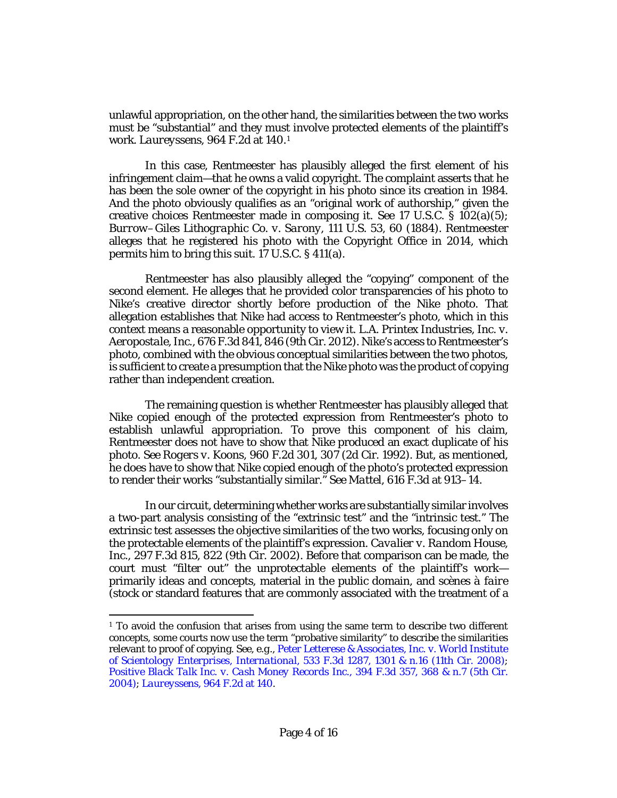unlawful appropriation, on the other hand, the similarities between the two works must be "substantial" and they must involve protected elements of the plaintiff's work. *Laureyssens*[, 964 F.2d at 140.](http://www.westlaw.com/Link/Document/FullText?findType=Y&serNum=1992094693&pubNum=0000350&originatingDoc=Ifed6ff401bdf11e891a4cc39e61c2da0&refType=RP&fi=co_pp_sp_350_140&originationContext=document&vr=3.0&rs=cblt1.0&transitionType=DocumentItem&contextData=(sc.Search)#co_pp_sp_350_140)[1](#page-3-0)

In this case, Rentmeester has plausibly alleged the first element of his infringement claim—that he owns a valid copyright. The complaint asserts that he has been the sole owner of the copyright in his photo since its creation in 1984. And the photo obviously qualifies as an "original work of authorship," given the creative choices Rentmeester made in composing it. *See* [17 U.S.C. § 102\(a\)\(5\);](http://www.westlaw.com/Link/Document/FullText?findType=L&pubNum=1000546&cite=17USCAS102&originatingDoc=Ifed6ff401bdf11e891a4cc39e61c2da0&refType=SP&originationContext=document&vr=3.0&rs=cblt1.0&transitionType=DocumentItem&contextData=(sc.Search)#co_pp_488b0000d05e2) *[Burrow–Giles Lithographic Co. v. Sarony](http://www.westlaw.com/Link/Document/FullText?findType=Y&serNum=1884180197&pubNum=0000708&originatingDoc=Ifed6ff401bdf11e891a4cc39e61c2da0&refType=RP&originationContext=document&vr=3.0&rs=cblt1.0&transitionType=DocumentItem&contextData=(sc.Search))*, 111 U.S. 53, 60 (1884). Rentmeester alleges that he registered his photo with the Copyright Office in 2014, which permits him to bring this suit. [17 U.S.C. § 411\(a\).](http://www.westlaw.com/Link/Document/FullText?findType=L&pubNum=1000546&cite=17USCAS411&originatingDoc=Ifed6ff401bdf11e891a4cc39e61c2da0&refType=SP&originationContext=document&vr=3.0&rs=cblt1.0&transitionType=DocumentItem&contextData=(sc.Search)#co_pp_8b3b0000958a4)

Rentmeester has also plausibly alleged the "copying" component of the second element. He alleges that he provided color transparencies of his photo to Nike's creative director shortly before production of the Nike photo. That allegation establishes that Nike had access to Rentmeester's photo, which in this context means a reasonable opportunity to view it. *[L.A. Printex Industries, Inc. v.](http://www.westlaw.com/Link/Document/FullText?findType=Y&serNum=2027459957&pubNum=0000506&originatingDoc=Ifed6ff401bdf11e891a4cc39e61c2da0&refType=RP&fi=co_pp_sp_506_846&originationContext=document&vr=3.0&rs=cblt1.0&transitionType=DocumentItem&contextData=(sc.Search)#co_pp_sp_506_846)  Aeropostale, Inc.*[, 676 F.3d 841, 846 \(9th Cir. 2012\).](http://www.westlaw.com/Link/Document/FullText?findType=Y&serNum=2027459957&pubNum=0000506&originatingDoc=Ifed6ff401bdf11e891a4cc39e61c2da0&refType=RP&fi=co_pp_sp_506_846&originationContext=document&vr=3.0&rs=cblt1.0&transitionType=DocumentItem&contextData=(sc.Search)#co_pp_sp_506_846) Nike's access to Rentmeester's photo, combined with the obvious conceptual similarities between the two photos, is sufficient to create a presumption that the Nike photo was the product of copying rather than independent creation.

The remaining question is whether Rentmeester has plausibly alleged that Nike copied enough of the protected expression from Rentmeester's photo to establish unlawful appropriation. To prove this component of his claim, Rentmeester does not have to show that Nike produced an exact duplicate of his photo. *See Rogers v. Koons*[, 960 F.2d 301, 307 \(2d Cir. 1992\).](http://www.westlaw.com/Link/Document/FullText?findType=Y&serNum=1992068198&pubNum=0000350&originatingDoc=Ifed6ff401bdf11e891a4cc39e61c2da0&refType=RP&fi=co_pp_sp_350_307&originationContext=document&vr=3.0&rs=cblt1.0&transitionType=DocumentItem&contextData=(sc.Search)#co_pp_sp_350_307) But, as mentioned, he does have to show that Nike copied enough of the photo's protected expression to render their works "substantially similar." *See Mattel*[, 616 F.3d at 913–14.](http://www.westlaw.com/Link/Document/FullText?findType=Y&serNum=2022583077&pubNum=0000506&originatingDoc=Ifed6ff401bdf11e891a4cc39e61c2da0&refType=RP&fi=co_pp_sp_506_913&originationContext=document&vr=3.0&rs=cblt1.0&transitionType=DocumentItem&contextData=(sc.Search)#co_pp_sp_506_913)

In our circuit, determining whether works are substantially similar involves a two-part analysis consisting of the "extrinsic test" and the "intrinsic test." The extrinsic test assesses the objective similarities of the two works, focusing only on the protectable elements of the plaintiff's expression. *[Cavalier v. Random House,](http://www.westlaw.com/Link/Document/FullText?findType=Y&serNum=2002328823&pubNum=0000506&originatingDoc=Ifed6ff401bdf11e891a4cc39e61c2da0&refType=RP&fi=co_pp_sp_506_822&originationContext=document&vr=3.0&rs=cblt1.0&transitionType=DocumentItem&contextData=(sc.Search)#co_pp_sp_506_822)  Inc.*[, 297 F.3d 815, 822 \(9th](http://www.westlaw.com/Link/Document/FullText?findType=Y&serNum=2002328823&pubNum=0000506&originatingDoc=Ifed6ff401bdf11e891a4cc39e61c2da0&refType=RP&fi=co_pp_sp_506_822&originationContext=document&vr=3.0&rs=cblt1.0&transitionType=DocumentItem&contextData=(sc.Search)#co_pp_sp_506_822) Cir. 2002). Before that comparison can be made, the court must "filter out" the unprotectable elements of the plaintiff's work primarily ideas and concepts, material in the public domain, and *scènes à faire* (stock or standard features that are commonly associated with the treatment of a

l

<span id="page-3-0"></span> $1$  To avoid the confusion that arises from using the same term to describe two different concepts, some courts now use the term "probative similarity" to describe the similarities relevant to proof of copying. *See, e.g.*, *[Peter Letterese & Associates, Inc. v. World Institute](http://www.westlaw.com/Link/Document/FullText?findType=Y&serNum=2016477890&pubNum=0000506&originatingDoc=Ifed6ff401bdf11e891a4cc39e61c2da0&refType=RP&fi=co_pp_sp_506_1301&originationContext=document&vr=3.0&rs=cblt1.0&transitionType=DocumentItem&contextData=(sc.Search)#co_pp_sp_506_1301)  of Scientology Enterprises, International*[, 533 F.3d 1287, 1301 & n.16 \(11th Cir. 2008\);](http://www.westlaw.com/Link/Document/FullText?findType=Y&serNum=2016477890&pubNum=0000506&originatingDoc=Ifed6ff401bdf11e891a4cc39e61c2da0&refType=RP&fi=co_pp_sp_506_1301&originationContext=document&vr=3.0&rs=cblt1.0&transitionType=DocumentItem&contextData=(sc.Search)#co_pp_sp_506_1301) *Positive Black [Talk Inc. v. Cash Money Records Inc.](http://www.westlaw.com/Link/Document/FullText?findType=Y&serNum=2005789330&pubNum=0000506&originatingDoc=Ifed6ff401bdf11e891a4cc39e61c2da0&refType=RP&fi=co_pp_sp_506_368&originationContext=document&vr=3.0&rs=cblt1.0&transitionType=DocumentItem&contextData=(sc.Search)#co_pp_sp_506_368)*, 394 F.3d 357, 368 & n.7 (5th Cir. [2004\);](http://www.westlaw.com/Link/Document/FullText?findType=Y&serNum=2005789330&pubNum=0000506&originatingDoc=Ifed6ff401bdf11e891a4cc39e61c2da0&refType=RP&fi=co_pp_sp_506_368&originationContext=document&vr=3.0&rs=cblt1.0&transitionType=DocumentItem&contextData=(sc.Search)#co_pp_sp_506_368) *Laureyssens*[, 964 F.2d at 140.](http://www.westlaw.com/Link/Document/FullText?findType=Y&serNum=1992094693&pubNum=0000350&originatingDoc=Ifed6ff401bdf11e891a4cc39e61c2da0&refType=RP&fi=co_pp_sp_350_140&originationContext=document&vr=3.0&rs=cblt1.0&transitionType=DocumentItem&contextData=(sc.Search)#co_pp_sp_350_140)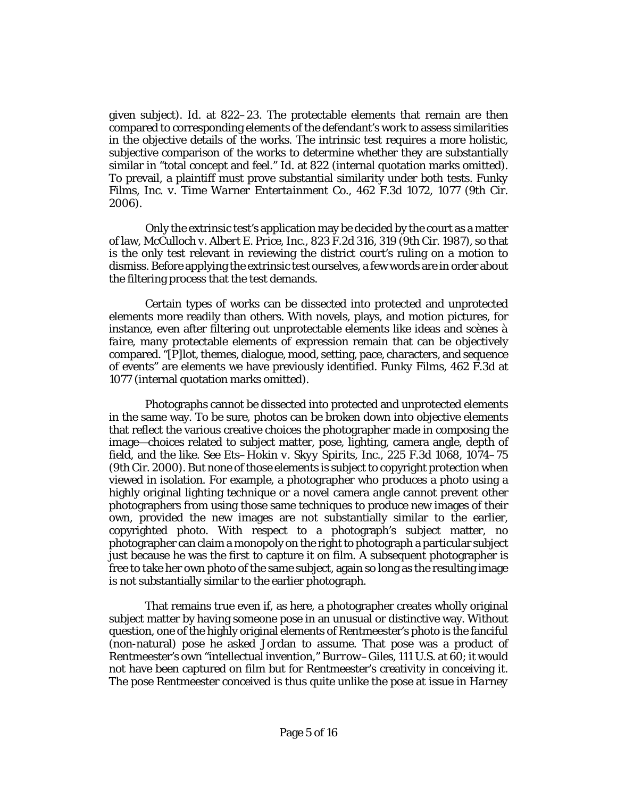given subject). *Id.* [at 822–23.](http://www.westlaw.com/Link/Document/FullText?findType=Y&serNum=2002328823&pubNum=0000506&originatingDoc=Ifed6ff401bdf11e891a4cc39e61c2da0&refType=RP&fi=co_pp_sp_506_822&originationContext=document&vr=3.0&rs=cblt1.0&transitionType=DocumentItem&contextData=(sc.Search)#co_pp_sp_506_822) The protectable elements that remain are then compared to corresponding elements of the defendant's work to assess similarities in the objective details of the works. The intrinsic test requires a more holistic, subjective comparison of the works to determine whether they are substantially similar in "total concept and feel." *Id.* [at 822](http://www.westlaw.com/Link/Document/FullText?findType=Y&serNum=2002328823&pubNum=0000506&originatingDoc=Ifed6ff401bdf11e891a4cc39e61c2da0&refType=RP&fi=co_pp_sp_506_822&originationContext=document&vr=3.0&rs=cblt1.0&transitionType=DocumentItem&contextData=(sc.Search)#co_pp_sp_506_822) (internal quotation marks omitted). To prevail, a plaintiff must prove substantial similarity under both tests. *[Funky](http://www.westlaw.com/Link/Document/FullText?findType=Y&serNum=2010199064&pubNum=0000506&originatingDoc=Ifed6ff401bdf11e891a4cc39e61c2da0&refType=RP&fi=co_pp_sp_506_1077&originationContext=document&vr=3.0&rs=cblt1.0&transitionType=DocumentItem&contextData=(sc.Search)#co_pp_sp_506_1077)  [Films, Inc. v. Time Warner Entertainment Co.](http://www.westlaw.com/Link/Document/FullText?findType=Y&serNum=2010199064&pubNum=0000506&originatingDoc=Ifed6ff401bdf11e891a4cc39e61c2da0&refType=RP&fi=co_pp_sp_506_1077&originationContext=document&vr=3.0&rs=cblt1.0&transitionType=DocumentItem&contextData=(sc.Search)#co_pp_sp_506_1077)*, 462 F.3d 1072, 1077 (9th Cir. [2006\).](http://www.westlaw.com/Link/Document/FullText?findType=Y&serNum=2010199064&pubNum=0000506&originatingDoc=Ifed6ff401bdf11e891a4cc39e61c2da0&refType=RP&fi=co_pp_sp_506_1077&originationContext=document&vr=3.0&rs=cblt1.0&transitionType=DocumentItem&contextData=(sc.Search)#co_pp_sp_506_1077)

Only the extrinsic test's application may be decided by the court as a matter of law, *[McCulloch v. Albert E. Price, Inc.](http://www.westlaw.com/Link/Document/FullText?findType=Y&serNum=1987093224&pubNum=0000350&originatingDoc=Ifed6ff401bdf11e891a4cc39e61c2da0&refType=RP&fi=co_pp_sp_350_319&originationContext=document&vr=3.0&rs=cblt1.0&transitionType=DocumentItem&contextData=(sc.Search)#co_pp_sp_350_319)*, 823 F.2d 316, 319 (9th Cir. 1987), so that is the only test relevant in reviewing the district court's ruling on a motion to dismiss. Before applying the extrinsic test ourselves, a few words are in order about the filtering process that the test demands.

Certain types of works can be dissected into protected and unprotected elements more readily than others. With novels, plays, and motion pictures, for instance, even after filtering out unprotectable elements like ideas and *scènes à faire*, many protectable elements of expression remain that can be objectively compared. "[P]lot, themes, dialogue, mood, setting, pace, characters, and sequence of events" are elements we have previously identified. *Funky Films*[, 462 F.3d at](http://www.westlaw.com/Link/Document/FullText?findType=Y&serNum=2010199064&pubNum=0000506&originatingDoc=Ifed6ff401bdf11e891a4cc39e61c2da0&refType=RP&fi=co_pp_sp_506_1077&originationContext=document&vr=3.0&rs=cblt1.0&transitionType=DocumentItem&contextData=(sc.Search)#co_pp_sp_506_1077)  [1077](http://www.westlaw.com/Link/Document/FullText?findType=Y&serNum=2010199064&pubNum=0000506&originatingDoc=Ifed6ff401bdf11e891a4cc39e61c2da0&refType=RP&fi=co_pp_sp_506_1077&originationContext=document&vr=3.0&rs=cblt1.0&transitionType=DocumentItem&contextData=(sc.Search)#co_pp_sp_506_1077) (internal quotation marks omitted).

Photographs cannot be dissected into protected and unprotected elements in the same way. To be sure, photos can be broken down into objective elements that reflect the various creative choices the photographer made in composing the image—choices related to subject matter, pose, lighting, camera angle, depth of field, and the like. *See [Ets–Hokin v. Skyy Spirits, Inc.](http://www.westlaw.com/Link/Document/FullText?findType=Y&serNum=2000479807&pubNum=0000506&originatingDoc=Ifed6ff401bdf11e891a4cc39e61c2da0&refType=RP&fi=co_pp_sp_506_1074&originationContext=document&vr=3.0&rs=cblt1.0&transitionType=DocumentItem&contextData=(sc.Search)#co_pp_sp_506_1074)*, 225 F.3d 1068, 1074–75 [\(9th Cir. 2000\).](http://www.westlaw.com/Link/Document/FullText?findType=Y&serNum=2000479807&pubNum=0000506&originatingDoc=Ifed6ff401bdf11e891a4cc39e61c2da0&refType=RP&fi=co_pp_sp_506_1074&originationContext=document&vr=3.0&rs=cblt1.0&transitionType=DocumentItem&contextData=(sc.Search)#co_pp_sp_506_1074) But none of those elements is subject to copyright protection when viewed in isolation. For example, a photographer who produces a photo using a highly original lighting technique or a novel camera angle cannot prevent other photographers from using those same techniques to produce new images of their own, provided the new images are not substantially similar to the earlier, copyrighted photo. With respect to a photograph's subject matter, no photographer can claim a monopoly on the right to photograph a particular subject just because he was the first to capture it on film. A subsequent photographer is free to take her own photo of the same subject, again so long as the resulting image is not substantially similar to the earlier photograph.

That remains true even if, as here, a photographer creates wholly original subject matter by having someone pose in an unusual or distinctive way. Without question, one of the highly original elements of Rentmeester's photo is the fanciful (non-natural) pose he asked Jordan to assume. That pose was a product of Rentmeester's own "intellectual invention," *Burrow–Giles*[, 111 U.S. at 60;](http://www.westlaw.com/Link/Document/FullText?findType=Y&serNum=1884180197&pubNum=0000708&originatingDoc=Ifed6ff401bdf11e891a4cc39e61c2da0&refType=RP&originationContext=document&vr=3.0&rs=cblt1.0&transitionType=DocumentItem&contextData=(sc.Search)) it would not have been captured on film but for Rentmeester's creativity in conceiving it. The pose Rentmeester conceived is thus quite unlike the pose at issue in *[Harney](http://www.westlaw.com/Link/Document/FullText?findType=Y&serNum=2029581125&pubNum=0000506&originatingDoc=Ifed6ff401bdf11e891a4cc39e61c2da0&refType=RP&originationContext=document&vr=3.0&rs=cblt1.0&transitionType=DocumentItem&contextData=(sc.Search))*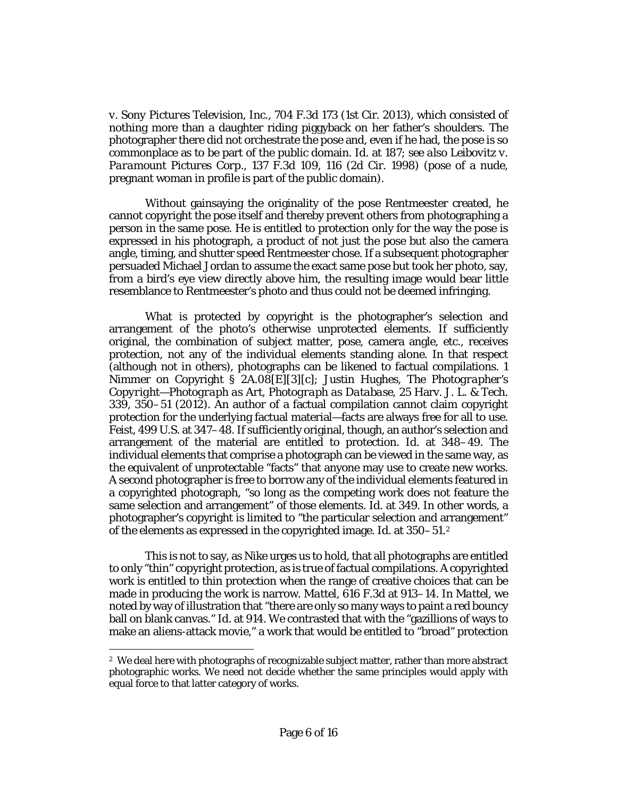*[v. Sony Pictures Television, Inc.](http://www.westlaw.com/Link/Document/FullText?findType=Y&serNum=2029581125&pubNum=0000506&originatingDoc=Ifed6ff401bdf11e891a4cc39e61c2da0&refType=RP&originationContext=document&vr=3.0&rs=cblt1.0&transitionType=DocumentItem&contextData=(sc.Search))*, 704 F.3d 173 (1st Cir. 2013), which consisted of nothing more than a daughter riding piggyback on her father's shoulders. The photographer there did not orchestrate the pose and, even if he had, the pose is so commonplace as to be part of the public domain. *Id.* [at 187;](http://www.westlaw.com/Link/Document/FullText?findType=Y&serNum=2029581125&pubNum=0000506&originatingDoc=Ifed6ff401bdf11e891a4cc39e61c2da0&refType=RP&fi=co_pp_sp_506_187&originationContext=document&vr=3.0&rs=cblt1.0&transitionType=DocumentItem&contextData=(sc.Search)#co_pp_sp_506_187) *see also [Leibovitz v.](http://www.westlaw.com/Link/Document/FullText?findType=Y&serNum=1998058058&pubNum=0000506&originatingDoc=Ifed6ff401bdf11e891a4cc39e61c2da0&refType=RP&fi=co_pp_sp_506_116&originationContext=document&vr=3.0&rs=cblt1.0&transitionType=DocumentItem&contextData=(sc.Search)#co_pp_sp_506_116)  Paramount Pictures Corp.*[, 137 F.3d 109, 116 \(2d Cir. 1998\)](http://www.westlaw.com/Link/Document/FullText?findType=Y&serNum=1998058058&pubNum=0000506&originatingDoc=Ifed6ff401bdf11e891a4cc39e61c2da0&refType=RP&fi=co_pp_sp_506_116&originationContext=document&vr=3.0&rs=cblt1.0&transitionType=DocumentItem&contextData=(sc.Search)#co_pp_sp_506_116) (pose of a nude, pregnant woman in profile is part of the public domain).

Without gainsaying the originality of the pose Rentmeester created, he cannot copyright the pose itself and thereby prevent others from photographing a person in the same pose. He is entitled to protection only for the way the pose is expressed in his photograph, a product of not just the pose but also the camera angle, timing, and shutter speed Rentmeester chose. If a subsequent photographer persuaded Michael Jordan to assume the exact same pose but took her photo, say, from a bird's eye view directly above him, the resulting image would bear little resemblance to Rentmeester's photo and thus could not be deemed infringing.

What *is* protected by copyright is the photographer's selection and arrangement of the photo's otherwise unprotected elements. If sufficiently original, the combination of subject matter, pose, camera angle, etc., receives protection, not any of the individual elements standing alone. In that respect (although not in others), photographs can be likened to factual compilations. 1 Nimmer on Copyright § 2A.08[E][3][c]; Justin Hughes, *[The Photographer's](http://www.westlaw.com/Link/Document/FullText?findType=Y&serNum=0372366535&pubNum=0003180&originatingDoc=Ifed6ff401bdf11e891a4cc39e61c2da0&refType=LR&fi=co_pp_sp_3180_350&originationContext=document&vr=3.0&rs=cblt1.0&transitionType=DocumentItem&contextData=(sc.Search)#co_pp_sp_3180_350)  [Copyright—Photograph as Art, Photograph as Database](http://www.westlaw.com/Link/Document/FullText?findType=Y&serNum=0372366535&pubNum=0003180&originatingDoc=Ifed6ff401bdf11e891a4cc39e61c2da0&refType=LR&fi=co_pp_sp_3180_350&originationContext=document&vr=3.0&rs=cblt1.0&transitionType=DocumentItem&contextData=(sc.Search)#co_pp_sp_3180_350)*, 25 Harv. J. L. & Tech. [339, 350–51 \(2012\).](http://www.westlaw.com/Link/Document/FullText?findType=Y&serNum=0372366535&pubNum=0003180&originatingDoc=Ifed6ff401bdf11e891a4cc39e61c2da0&refType=LR&fi=co_pp_sp_3180_350&originationContext=document&vr=3.0&rs=cblt1.0&transitionType=DocumentItem&contextData=(sc.Search)#co_pp_sp_3180_350) An author of a factual compilation cannot claim copyright protection for the underlying factual material—facts are always free for all to use. *Feist*[, 499 U.S. at 347–48.](http://www.westlaw.com/Link/Document/FullText?findType=Y&serNum=1991060551&pubNum=0000708&originatingDoc=Ifed6ff401bdf11e891a4cc39e61c2da0&refType=RP&originationContext=document&vr=3.0&rs=cblt1.0&transitionType=DocumentItem&contextData=(sc.Search)) If sufficiently original, though, an author's selection and arrangement of the material are entitled to protection. *Id.* [at 348–49.](http://www.westlaw.com/Link/Document/FullText?findType=Y&serNum=1991060551&pubNum=0000708&originatingDoc=Ifed6ff401bdf11e891a4cc39e61c2da0&refType=RP&originationContext=document&vr=3.0&rs=cblt1.0&transitionType=DocumentItem&contextData=(sc.Search)) The individual elements that comprise a photograph can be viewed in the same way, as the equivalent of unprotectable "facts" that anyone may use to create new works. A second photographer is free to borrow any of the individual elements featured in a copyrighted photograph, "so long as the competing work does not feature the same selection and arrangement" of those elements. *Id.* [at 349. I](http://www.westlaw.com/Link/Document/FullText?findType=Y&serNum=1991060551&pubNum=0000708&originatingDoc=Ifed6ff401bdf11e891a4cc39e61c2da0&refType=RP&originationContext=document&vr=3.0&rs=cblt1.0&transitionType=DocumentItem&contextData=(sc.Search))n other words, a photographer's copyright is limited to "the particular selection and arrangement" of the elements as expressed in the copyrighted image. *Id.* [at 350–51.](http://www.westlaw.com/Link/Document/FullText?findType=Y&serNum=1991060551&pubNum=0000708&originatingDoc=Ifed6ff401bdf11e891a4cc39e61c2da0&refType=RP&originationContext=document&vr=3.0&rs=cblt1.0&transitionType=DocumentItem&contextData=(sc.Search))[2](#page-5-0)

This is not to say, as Nike urges us to hold, that all photographs are entitled to only "thin" copyright protection, as is true of factual compilations. A copyrighted work is entitled to thin protection when the range of creative choices that can be made in producing the work is narrow. *Mattel*[, 616 F.3d at 913–14.](http://www.westlaw.com/Link/Document/FullText?findType=Y&serNum=2022583077&pubNum=0000506&originatingDoc=Ifed6ff401bdf11e891a4cc39e61c2da0&refType=RP&fi=co_pp_sp_506_913&originationContext=document&vr=3.0&rs=cblt1.0&transitionType=DocumentItem&contextData=(sc.Search)#co_pp_sp_506_913) In *[Mattel](http://www.westlaw.com/Link/Document/FullText?findType=Y&serNum=2022583077&pubNum=0000506&originatingDoc=Ifed6ff401bdf11e891a4cc39e61c2da0&refType=RP&originationContext=document&vr=3.0&rs=cblt1.0&transitionType=DocumentItem&contextData=(sc.Search))*, we noted by way of illustration that "there are only so many ways to paint a red bouncy ball on blank canvas." *Id.* [at 914.](http://www.westlaw.com/Link/Document/FullText?findType=Y&serNum=2022583077&pubNum=0000506&originatingDoc=Ifed6ff401bdf11e891a4cc39e61c2da0&refType=RP&fi=co_pp_sp_506_914&originationContext=document&vr=3.0&rs=cblt1.0&transitionType=DocumentItem&contextData=(sc.Search)#co_pp_sp_506_914) We contrasted that with the "gazillions of ways to make an aliens-attack movie," a work that would be entitled to "broad" protection

 $\overline{a}$ 

<span id="page-5-0"></span><sup>2</sup> We deal here with photographs of recognizable subject matter, rather than more abstract photographic works. We need not decide whether the same principles would apply with equal force to that latter category of works.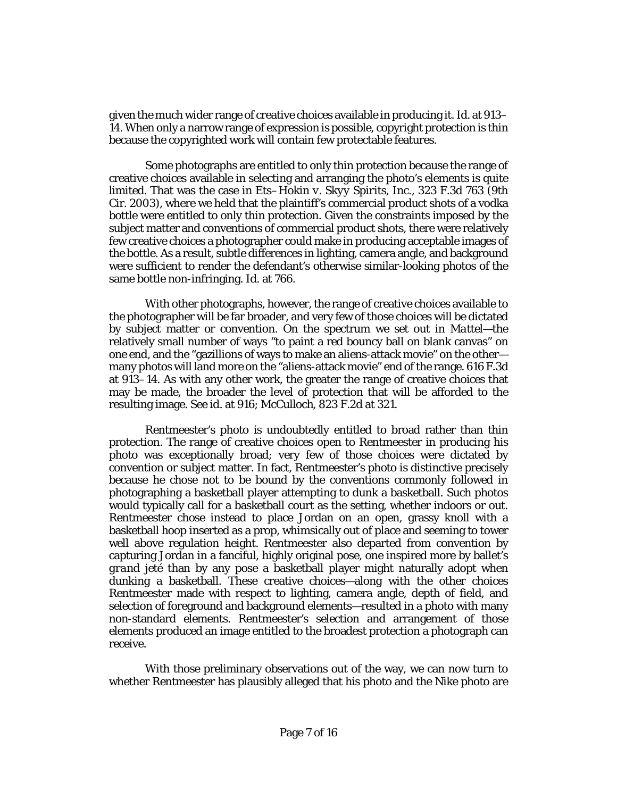given the much wider range of creative choices available in producing it. *Id.* [at 913–](http://www.westlaw.com/Link/Document/FullText?findType=Y&serNum=2022583077&pubNum=0000506&originatingDoc=Ifed6ff401bdf11e891a4cc39e61c2da0&refType=RP&fi=co_pp_sp_506_913&originationContext=document&vr=3.0&rs=cblt1.0&transitionType=DocumentItem&contextData=(sc.Search)#co_pp_sp_506_913) [14.](http://www.westlaw.com/Link/Document/FullText?findType=Y&serNum=2022583077&pubNum=0000506&originatingDoc=Ifed6ff401bdf11e891a4cc39e61c2da0&refType=RP&fi=co_pp_sp_506_913&originationContext=document&vr=3.0&rs=cblt1.0&transitionType=DocumentItem&contextData=(sc.Search)#co_pp_sp_506_913) When only a narrow range of expression is possible, copyright protection is thin because the copyrighted work will contain few protectable features.

Some photographs are entitled to only thin protection because the range of creative choices available in selecting and arranging the photo's elements is quite limited. That was the case in *[Ets–Hokin v. Skyy Spirits, Inc.](http://www.westlaw.com/Link/Document/FullText?findType=Y&serNum=2003214096&pubNum=0000506&originatingDoc=Ifed6ff401bdf11e891a4cc39e61c2da0&refType=RP&originationContext=document&vr=3.0&rs=cblt1.0&transitionType=DocumentItem&contextData=(sc.Search))*, 323 F.3d 763 (9th [Cir. 2003\),](http://www.westlaw.com/Link/Document/FullText?findType=Y&serNum=2003214096&pubNum=0000506&originatingDoc=Ifed6ff401bdf11e891a4cc39e61c2da0&refType=RP&originationContext=document&vr=3.0&rs=cblt1.0&transitionType=DocumentItem&contextData=(sc.Search)) where we held that the plaintiff's commercial product shots of a vodka bottle were entitled to only thin protection. Given the constraints imposed by the subject matter and conventions of commercial product shots, there were relatively few creative choices a photographer could make in producing acceptable images of the bottle. As a result, subtle differences in lighting, camera angle, and background were sufficient to render the defendant's otherwise similar-looking photos of the same bottle non-infringing. *Id.* [at 766.](http://www.westlaw.com/Link/Document/FullText?findType=Y&serNum=2003214096&pubNum=0000506&originatingDoc=Ifed6ff401bdf11e891a4cc39e61c2da0&refType=RP&fi=co_pp_sp_506_766&originationContext=document&vr=3.0&rs=cblt1.0&transitionType=DocumentItem&contextData=(sc.Search)#co_pp_sp_506_766)

With other photographs, however, the range of creative choices available to the photographer will be far broader, and very few of those choices will be dictated by subject matter or convention. On the spectrum we set out in *[Mattel](http://www.westlaw.com/Link/Document/FullText?findType=Y&serNum=2022583077&originatingDoc=Ifed6ff401bdf11e891a4cc39e61c2da0&refType=RP&originationContext=document&vr=3.0&rs=cblt1.0&transitionType=DocumentItem&contextData=(sc.Search))*—the relatively small number of ways "to paint a red bouncy ball on blank canvas" on one end, and the "gazillions of ways to make an aliens-attack movie" on the other many photos will land more on the "aliens-attack movie" end of the range. [616 F.3d](http://www.westlaw.com/Link/Document/FullText?findType=Y&serNum=2022583077&pubNum=0000506&originatingDoc=Ifed6ff401bdf11e891a4cc39e61c2da0&refType=RP&fi=co_pp_sp_506_913&originationContext=document&vr=3.0&rs=cblt1.0&transitionType=DocumentItem&contextData=(sc.Search)#co_pp_sp_506_913)  [at 913–14.](http://www.westlaw.com/Link/Document/FullText?findType=Y&serNum=2022583077&pubNum=0000506&originatingDoc=Ifed6ff401bdf11e891a4cc39e61c2da0&refType=RP&fi=co_pp_sp_506_913&originationContext=document&vr=3.0&rs=cblt1.0&transitionType=DocumentItem&contextData=(sc.Search)#co_pp_sp_506_913) As with any other work, the greater the range of creative choices that may be made, the broader the level of protection that will be afforded to the resulting image. *See id.* [at 916;](http://www.westlaw.com/Link/Document/FullText?findType=Y&serNum=2022583077&pubNum=0000506&originatingDoc=Ifed6ff401bdf11e891a4cc39e61c2da0&refType=RP&fi=co_pp_sp_506_916&originationContext=document&vr=3.0&rs=cblt1.0&transitionType=DocumentItem&contextData=(sc.Search)#co_pp_sp_506_916) *McCulloch*[, 823 F.2d at 321.](http://www.westlaw.com/Link/Document/FullText?findType=Y&serNum=1987093224&pubNum=0000350&originatingDoc=Ifed6ff401bdf11e891a4cc39e61c2da0&refType=RP&fi=co_pp_sp_350_321&originationContext=document&vr=3.0&rs=cblt1.0&transitionType=DocumentItem&contextData=(sc.Search)#co_pp_sp_350_321)

Rentmeester's photo is undoubtedly entitled to broad rather than thin protection. The range of creative choices open to Rentmeester in producing his photo was exceptionally broad; very few of those choices were dictated by convention or subject matter. In fact, Rentmeester's photo is distinctive precisely because he chose *not* to be bound by the conventions commonly followed in photographing a basketball player attempting to dunk a basketball. Such photos would typically call for a basketball court as the setting, whether indoors or out. Rentmeester chose instead to place Jordan on an open, grassy knoll with a basketball hoop inserted as a prop, whimsically out of place and seeming to tower well above regulation height. Rentmeester also departed from convention by capturing Jordan in a fanciful, highly original pose, one inspired more by ballet's *grand jeté* than by any pose a basketball player might naturally adopt when dunking a basketball. These creative choices—along with the other choices Rentmeester made with respect to lighting, camera angle, depth of field, and selection of foreground and background elements—resulted in a photo with many non-standard elements. Rentmeester's selection and arrangement of those elements produced an image entitled to the broadest protection a photograph can receive.

With those preliminary observations out of the way, we can now turn to whether Rentmeester has plausibly alleged that his photo and the Nike photo are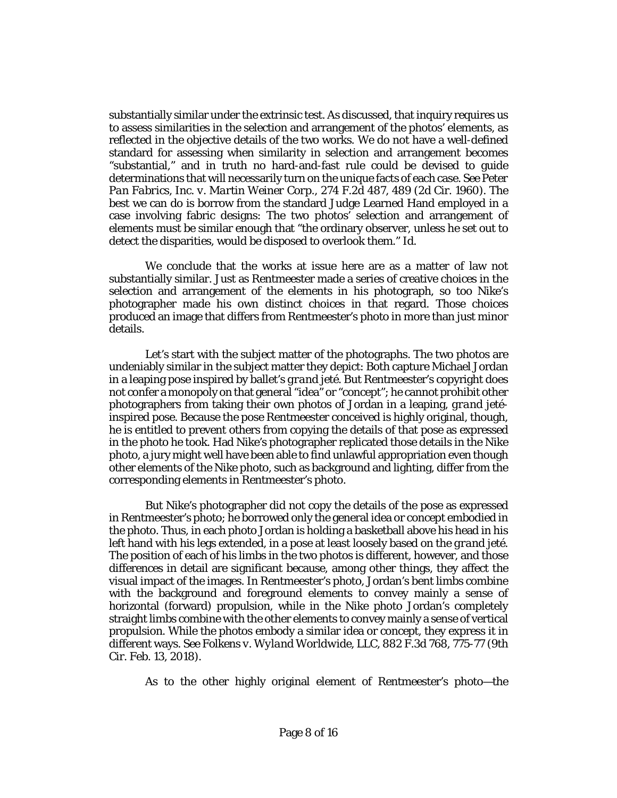substantially similar under the extrinsic test. As discussed, that inquiry requires us to assess similarities in the selection and arrangement of the photos' elements, as reflected in the objective details of the two works. We do not have a well-defined standard for assessing when similarity in selection and arrangement becomes "substantial," and in truth no hard-and-fast rule could be devised to guide determinations that will necessarily turn on the unique facts of each case. *See [Peter](http://www.westlaw.com/Link/Document/FullText?findType=Y&serNum=1960103369&pubNum=0000350&originatingDoc=Ifed6ff401bdf11e891a4cc39e61c2da0&refType=RP&fi=co_pp_sp_350_489&originationContext=document&vr=3.0&rs=cblt1.0&transitionType=DocumentItem&contextData=(sc.Search)#co_pp_sp_350_489)  [Pan Fabrics, Inc. v. Martin Weiner Corp.](http://www.westlaw.com/Link/Document/FullText?findType=Y&serNum=1960103369&pubNum=0000350&originatingDoc=Ifed6ff401bdf11e891a4cc39e61c2da0&refType=RP&fi=co_pp_sp_350_489&originationContext=document&vr=3.0&rs=cblt1.0&transitionType=DocumentItem&contextData=(sc.Search)#co_pp_sp_350_489)*, 274 F.2d 487, 489 (2d Cir. 1960). The best we can do is borrow from the standard Judge Learned Hand employed in a case involving fabric designs: The two photos' selection and arrangement of elements must be similar enough that "the ordinary observer, unless he set out to detect the disparities, would be disposed to overlook them." *[Id.](http://www.westlaw.com/Link/Document/FullText?findType=Y&serNum=1960103369&pubNum=0000350&originatingDoc=Ifed6ff401bdf11e891a4cc39e61c2da0&refType=RP&originationContext=document&vr=3.0&rs=cblt1.0&transitionType=DocumentItem&contextData=(sc.Search))*

We conclude that the works at issue here are as a matter of law not substantially similar. Just as Rentmeester made a series of creative choices in the selection and arrangement of the elements in his photograph, so too Nike's photographer made his own distinct choices in that regard. Those choices produced an image that differs from Rentmeester's photo in more than just minor details.

Let's start with the subject matter of the photographs. The two photos are undeniably similar in the subject matter they depict: Both capture Michael Jordan in a leaping pose inspired by ballet's *grand jeté*. But Rentmeester's copyright does not confer a monopoly on that general "idea" or "concept"; he cannot prohibit other photographers from taking their own photos of Jordan in a leaping, *grand jeté*inspired pose. Because the pose Rentmeester conceived is highly original, though, he is entitled to prevent others from copying the details of that pose as expressed in the photo he took. Had Nike's photographer replicated those details in the Nike photo, a jury might well have been able to find unlawful appropriation even though other elements of the Nike photo, such as background and lighting, differ from the corresponding elements in Rentmeester's photo.

But Nike's photographer did not copy the details of the pose as expressed in Rentmeester's photo; he borrowed only the general idea or concept embodied in the photo. Thus, in each photo Jordan is holding a basketball above his head in his left hand with his legs extended, in a pose at least loosely based on the *grand jeté*. The position of each of his limbs in the two photos is different, however, and those differences in detail are significant because, among other things, they affect the visual impact of the images. In Rentmeester's photo, Jordan's bent limbs combine with the background and foreground elements to convey mainly a sense of horizontal (forward) propulsion, while in the Nike photo Jordan's completely straight limbs combine with the other elements to convey mainly a sense of vertical propulsion. While the photos embody a similar idea or concept, they express it in different ways. *Se[e Folkens v. Wyland Worldwide, LLC](http://www.westlaw.com/Link/Document/FullText?findType=Y&serNum=2043808072&pubNum=0000506&originatingDoc=Ifed6ff401bdf11e891a4cc39e61c2da0&refType=RP&fi=co_pp_sp_506_775&originationContext=document&vr=3.0&rs=cblt1.0&transitionType=DocumentItem&contextData=(sc.Search)#co_pp_sp_506_775)*, 882 F.3d 768, 775-77 (9th [Cir. Feb. 13, 2018\).](http://www.westlaw.com/Link/Document/FullText?findType=Y&serNum=2043808072&pubNum=0000506&originatingDoc=Ifed6ff401bdf11e891a4cc39e61c2da0&refType=RP&fi=co_pp_sp_506_775&originationContext=document&vr=3.0&rs=cblt1.0&transitionType=DocumentItem&contextData=(sc.Search)#co_pp_sp_506_775)

As to the other highly original element of Rentmeester's photo—the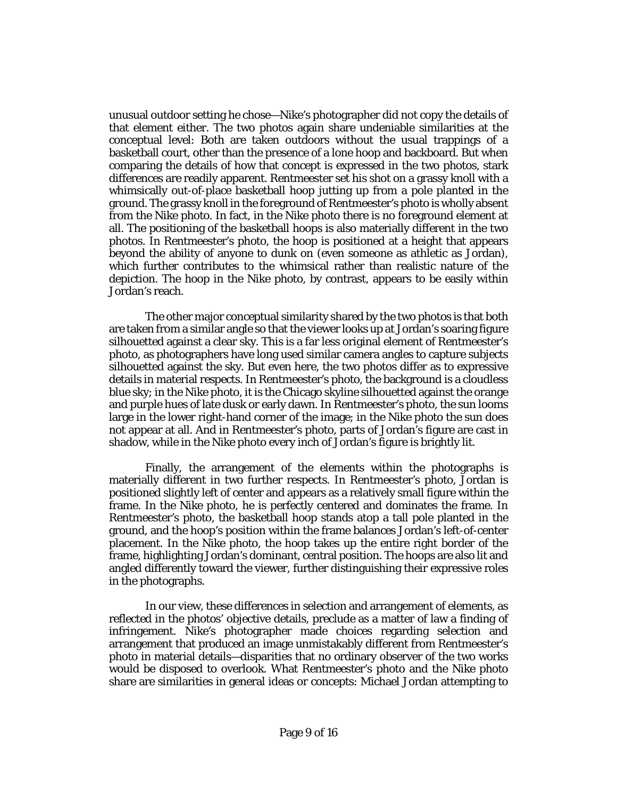unusual outdoor setting he chose—Nike's photographer did not copy the details of that element either. The two photos again share undeniable similarities at the conceptual level: Both are taken outdoors without the usual trappings of a basketball court, other than the presence of a lone hoop and backboard. But when comparing the details of how that concept is expressed in the two photos, stark differences are readily apparent. Rentmeester set his shot on a grassy knoll with a whimsically out-of-place basketball hoop jutting up from a pole planted in the ground. The grassy knoll in the foreground of Rentmeester's photo is wholly absent from the Nike photo. In fact, in the Nike photo there is no foreground element at all. The positioning of the basketball hoops is also materially different in the two photos. In Rentmeester's photo, the hoop is positioned at a height that appears beyond the ability of anyone to dunk on (even someone as athletic as Jordan), which further contributes to the whimsical rather than realistic nature of the depiction. The hoop in the Nike photo, by contrast, appears to be easily within Jordan's reach.

The other major conceptual similarity shared by the two photos is that both are taken from a similar angle so that the viewer looks up at Jordan's soaring figure silhouetted against a clear sky. This is a far less original element of Rentmeester's photo, as photographers have long used similar camera angles to capture subjects silhouetted against the sky. But even here, the two photos differ as to expressive details in material respects. In Rentmeester's photo, the background is a cloudless blue sky; in the Nike photo, it is the Chicago skyline silhouetted against the orange and purple hues of late dusk or early dawn. In Rentmeester's photo, the sun looms large in the lower right-hand corner of the image; in the Nike photo the sun does not appear at all. And in Rentmeester's photo, parts of Jordan's figure are cast in shadow, while in the Nike photo every inch of Jordan's figure is brightly lit.

Finally, the arrangement of the elements within the photographs is materially different in two further respects. In Rentmeester's photo, Jordan is positioned slightly left of center and appears as a relatively small figure within the frame. In the Nike photo, he is perfectly centered and dominates the frame. In Rentmeester's photo, the basketball hoop stands atop a tall pole planted in the ground, and the hoop's position within the frame balances Jordan's left-of-center placement. In the Nike photo, the hoop takes up the entire right border of the frame, highlighting Jordan's dominant, central position. The hoops are also lit and angled differently toward the viewer, further distinguishing their expressive roles in the photographs.

In our view, these differences in selection and arrangement of elements, as reflected in the photos' objective details, preclude as a matter of law a finding of infringement. Nike's photographer made choices regarding selection and arrangement that produced an image unmistakably different from Rentmeester's photo in material details—disparities that no ordinary observer of the two works would be disposed to overlook. What Rentmeester's photo and the Nike photo share are similarities in general ideas or concepts: Michael Jordan attempting to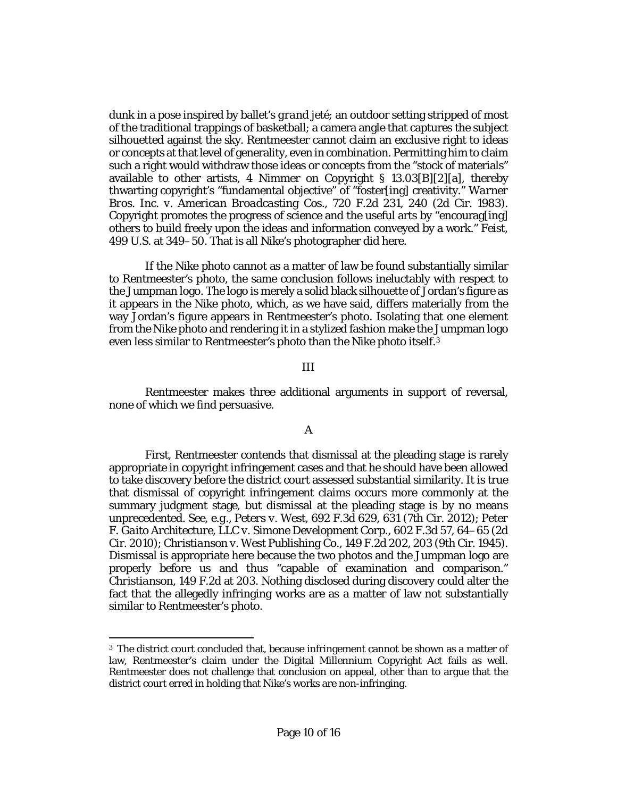dunk in a pose inspired by ballet's *grand jeté*; an outdoor setting stripped of most of the traditional trappings of basketball; a camera angle that captures the subject silhouetted against the sky. Rentmeester cannot claim an exclusive right to ideas or concepts at that level of generality, even in combination. Permitting him to claim such a right would withdraw those ideas or concepts from the "stock of materials" available to other artists, 4 Nimmer on Copyright § 13.03[B][2][a], thereby thwarting copyright's "fundamental objective" of "foster[ing] creativity." *[Warner](http://www.westlaw.com/Link/Document/FullText?findType=Y&serNum=1983148435&pubNum=0000350&originatingDoc=Ifed6ff401bdf11e891a4cc39e61c2da0&refType=RP&fi=co_pp_sp_350_240&originationContext=document&vr=3.0&rs=cblt1.0&transitionType=DocumentItem&contextData=(sc.Search)#co_pp_sp_350_240)  [Bros. Inc. v. American Broadcasting Cos.](http://www.westlaw.com/Link/Document/FullText?findType=Y&serNum=1983148435&pubNum=0000350&originatingDoc=Ifed6ff401bdf11e891a4cc39e61c2da0&refType=RP&fi=co_pp_sp_350_240&originationContext=document&vr=3.0&rs=cblt1.0&transitionType=DocumentItem&contextData=(sc.Search)#co_pp_sp_350_240)*, 720 F.2d 231, 240 (2d Cir. 1983). Copyright promotes the progress of science and the useful arts by "encourag[ing] others to build freely upon the ideas and information conveyed by a work." *[Feist](http://www.westlaw.com/Link/Document/FullText?findType=Y&serNum=1991060551&pubNum=0000708&originatingDoc=Ifed6ff401bdf11e891a4cc39e61c2da0&refType=RP&originationContext=document&vr=3.0&rs=cblt1.0&transitionType=DocumentItem&contextData=(sc.Search))*, [499 U.S. at 349–50.](http://www.westlaw.com/Link/Document/FullText?findType=Y&serNum=1991060551&pubNum=0000708&originatingDoc=Ifed6ff401bdf11e891a4cc39e61c2da0&refType=RP&originationContext=document&vr=3.0&rs=cblt1.0&transitionType=DocumentItem&contextData=(sc.Search)) That is all Nike's photographer did here.

If the Nike photo cannot as a matter of law be found substantially similar to Rentmeester's photo, the same conclusion follows ineluctably with respect to the Jumpman logo. The logo is merely a solid black silhouette of Jordan's figure as it appears in the Nike photo, which, as we have said, differs materially from the way Jordan's figure appears in Rentmeester's photo. Isolating that one element from the Nike photo and rendering it in a stylized fashion make the Jumpman logo even less similar to Rentmeester's photo than the Nike photo itself.[3](#page-9-0)

#### III

Rentmeester makes three additional arguments in support of reversal, none of which we find persuasive.

#### A

First, Rentmeester contends that dismissal at the pleading stage is rarely appropriate in copyright infringement cases and that he should have been allowed to take discovery before the district court assessed substantial similarity. It is true that dismissal of copyright infringement claims occurs more commonly at the summary judgment stage, but dismissal at the pleading stage is by no means unprecedented. *See, e.g.*, *Peters v. West*[, 692 F.3d 629, 631 \(7th Cir. 2012\);](http://www.westlaw.com/Link/Document/FullText?findType=Y&serNum=2028435200&pubNum=0000506&originatingDoc=Ifed6ff401bdf11e891a4cc39e61c2da0&refType=RP&fi=co_pp_sp_506_631&originationContext=document&vr=3.0&rs=cblt1.0&transitionType=DocumentItem&contextData=(sc.Search)#co_pp_sp_506_631) *[Peter](http://www.westlaw.com/Link/Document/FullText?findType=Y&serNum=2021695422&pubNum=0000506&originatingDoc=Ifed6ff401bdf11e891a4cc39e61c2da0&refType=RP&fi=co_pp_sp_506_64&originationContext=document&vr=3.0&rs=cblt1.0&transitionType=DocumentItem&contextData=(sc.Search)#co_pp_sp_506_64)  [F. Gaito Architecture, LLC v. Simone Development Corp.](http://www.westlaw.com/Link/Document/FullText?findType=Y&serNum=2021695422&pubNum=0000506&originatingDoc=Ifed6ff401bdf11e891a4cc39e61c2da0&refType=RP&fi=co_pp_sp_506_64&originationContext=document&vr=3.0&rs=cblt1.0&transitionType=DocumentItem&contextData=(sc.Search)#co_pp_sp_506_64)*, 602 F.3d 57, 64–65 (2d [Cir. 2010\);](http://www.westlaw.com/Link/Document/FullText?findType=Y&serNum=2021695422&pubNum=0000506&originatingDoc=Ifed6ff401bdf11e891a4cc39e61c2da0&refType=RP&fi=co_pp_sp_506_64&originationContext=document&vr=3.0&rs=cblt1.0&transitionType=DocumentItem&contextData=(sc.Search)#co_pp_sp_506_64) *[Christianson v. West Publishing Co.](http://www.westlaw.com/Link/Document/FullText?findType=Y&serNum=1945113981&pubNum=0000350&originatingDoc=Ifed6ff401bdf11e891a4cc39e61c2da0&refType=RP&fi=co_pp_sp_350_203&originationContext=document&vr=3.0&rs=cblt1.0&transitionType=DocumentItem&contextData=(sc.Search)#co_pp_sp_350_203)*, 149 F.2d 202, 203 (9th Cir. 1945). Dismissal is appropriate here because the two photos and the Jumpman logo are properly before us and thus "capable of examination and comparison." *Christianson*[, 149 F.2d at 203.](http://www.westlaw.com/Link/Document/FullText?findType=Y&serNum=1945113981&pubNum=0000350&originatingDoc=Ifed6ff401bdf11e891a4cc39e61c2da0&refType=RP&fi=co_pp_sp_350_203&originationContext=document&vr=3.0&rs=cblt1.0&transitionType=DocumentItem&contextData=(sc.Search)#co_pp_sp_350_203) Nothing disclosed during discovery could alter the fact that the allegedly infringing works are as a matter of law not substantially similar to Rentmeester's photo.

 $\overline{\phantom{a}}$ 

<span id="page-9-0"></span><sup>3</sup> The district court concluded that, because infringement cannot be shown as a matter of law, Rentmeester's claim under the Digital Millennium Copyright Act fails as well. Rentmeester does not challenge that conclusion on appeal, other than to argue that the district court erred in holding that Nike's works are non-infringing.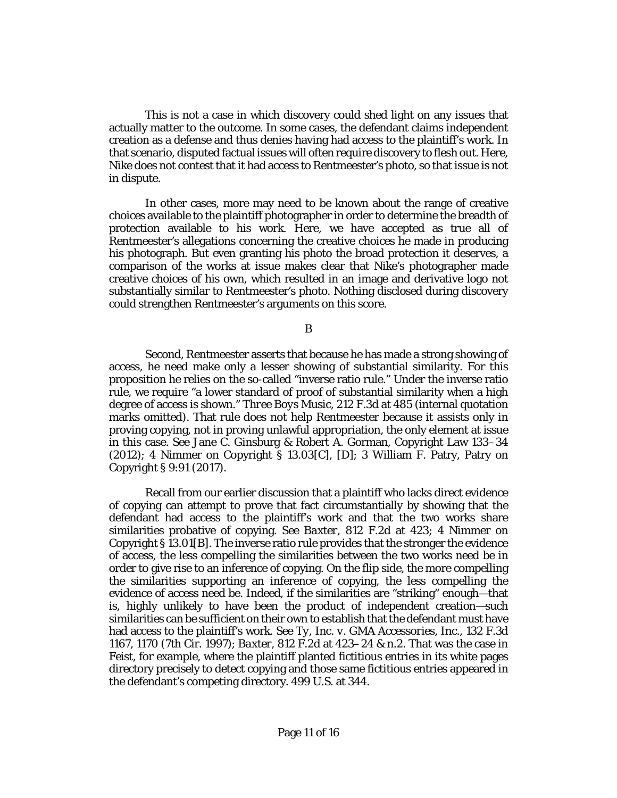This is not a case in which discovery could shed light on any issues that actually matter to the outcome. In some cases, the defendant claims independent creation as a defense and thus denies having had access to the plaintiff's work. In that scenario, disputed factual issues will often require discovery to flesh out. Here, Nike does not contest that it had access to Rentmeester's photo, so that issue is not in dispute.

In other cases, more may need to be known about the range of creative choices available to the plaintiff photographer in order to determine the breadth of protection available to his work. Here, we have accepted as true all of Rentmeester's allegations concerning the creative choices he made in producing his photograph. But even granting his photo the broad protection it deserves, a comparison of the works at issue makes clear that Nike's photographer made creative choices of his own, which resulted in an image and derivative logo not substantially similar to Rentmeester's photo. Nothing disclosed during discovery could strengthen Rentmeester's arguments on this score.

B

Second, Rentmeester asserts that because he has made a strong showing of access, he need make only a lesser showing of substantial similarity. For this proposition he relies on the so-called "inverse ratio rule." Under the inverse ratio rule, we require "a lower standard of proof of substantial similarity when a high degree of access is shown." *[Three Boys Music](http://www.westlaw.com/Link/Document/FullText?findType=Y&serNum=2000304625&pubNum=0000506&originatingDoc=Ifed6ff401bdf11e891a4cc39e61c2da0&refType=RP&fi=co_pp_sp_506_485&originationContext=document&vr=3.0&rs=cblt1.0&transitionType=DocumentItem&contextData=(sc.Search)#co_pp_sp_506_485)*, 212 F.3d at 485 (internal quotation marks omitted). That rule does not help Rentmeester because it assists only in proving copying, not in proving unlawful appropriation, the only element at issue in this case. *See* Jane C. Ginsburg & Robert A. Gorman, Copyright Law 133–34  $(2012)$ ; 4 Nimmer on Copyright § 13.03 $[C]$ , [D]; 3 William F. Patry, Patry on [Copyright § 9:91 \(2017\).](http://www.westlaw.com/Link/Document/FullText?findType=Y&serNum=0329605352&pubNum=0196399&originatingDoc=Ifed6ff401bdf11e891a4cc39e61c2da0&refType=TS&originationContext=document&vr=3.0&rs=cblt1.0&transitionType=DocumentItem&contextData=(sc.Search))

Recall from our earlier discussion that a plaintiff who lacks direct evidence of copying can attempt to prove that fact circumstantially by showing that the defendant had access to the plaintiff's work and that the two works share similarities probative of copying. *See Baxter*[, 812 F.2d at 423;](http://www.westlaw.com/Link/Document/FullText?findType=Y&serNum=1987028696&pubNum=0000350&originatingDoc=Ifed6ff401bdf11e891a4cc39e61c2da0&refType=RP&fi=co_pp_sp_350_423&originationContext=document&vr=3.0&rs=cblt1.0&transitionType=DocumentItem&contextData=(sc.Search)#co_pp_sp_350_423) 4 Nimmer on Copyright § 13.01[B]. The inverse ratio rule provides that the stronger the evidence of access, the less compelling the similarities between the two works need be in order to give rise to an inference of copying. On the flip side, the more compelling the similarities supporting an inference of copying, the less compelling the evidence of access need be. Indeed, if the similarities are "striking" enough—that is, highly unlikely to have been the product of independent creation—such similarities can be sufficient on their own to establish that the defendant must have had access to the plaintiff's work. *See [Ty, Inc. v. GMA Accessories, Inc.](http://www.westlaw.com/Link/Document/FullText?findType=Y&serNum=1997249699&pubNum=0000506&originatingDoc=Ifed6ff401bdf11e891a4cc39e61c2da0&refType=RP&fi=co_pp_sp_506_1170&originationContext=document&vr=3.0&rs=cblt1.0&transitionType=DocumentItem&contextData=(sc.Search)#co_pp_sp_506_1170)*, 132 F.3d [1167, 1170 \(7th Cir. 1997\);](http://www.westlaw.com/Link/Document/FullText?findType=Y&serNum=1997249699&pubNum=0000506&originatingDoc=Ifed6ff401bdf11e891a4cc39e61c2da0&refType=RP&fi=co_pp_sp_506_1170&originationContext=document&vr=3.0&rs=cblt1.0&transitionType=DocumentItem&contextData=(sc.Search)#co_pp_sp_506_1170) *Baxter*[, 812 F.2d at 423–24 & n.2.](http://www.westlaw.com/Link/Document/FullText?findType=Y&serNum=1987028696&pubNum=0000350&originatingDoc=Ifed6ff401bdf11e891a4cc39e61c2da0&refType=RP&fi=co_pp_sp_350_423&originationContext=document&vr=3.0&rs=cblt1.0&transitionType=DocumentItem&contextData=(sc.Search)#co_pp_sp_350_423) That was the case in *[Feist](http://www.westlaw.com/Link/Document/FullText?findType=Y&serNum=1991060551&pubNum=0000780&originatingDoc=Ifed6ff401bdf11e891a4cc39e61c2da0&refType=RP&originationContext=document&vr=3.0&rs=cblt1.0&transitionType=DocumentItem&contextData=(sc.Search))*, for example, where the plaintiff planted fictitious entries in its white pages directory precisely to detect copying and those same fictitious entries appeared in the defendant's competing directory. [499 U.S. at 344.](http://www.westlaw.com/Link/Document/FullText?findType=Y&serNum=1991060551&pubNum=0000708&originatingDoc=Ifed6ff401bdf11e891a4cc39e61c2da0&refType=RP&originationContext=document&vr=3.0&rs=cblt1.0&transitionType=DocumentItem&contextData=(sc.Search))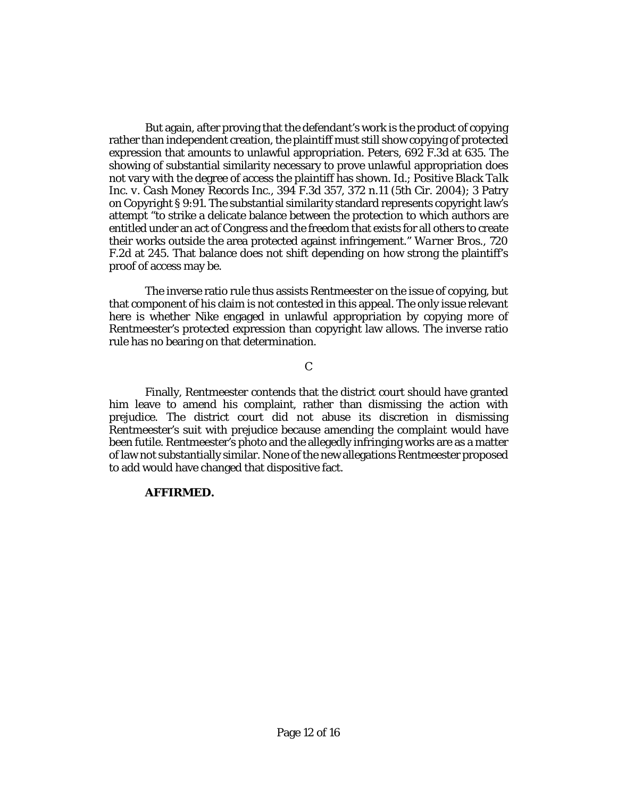But again, after proving that the defendant's work is the product of copying rather than independent creation, the plaintiff must still show copying of protected expression that amounts to unlawful appropriation. *Peters*[, 692 F.3d at 635.](http://www.westlaw.com/Link/Document/FullText?findType=Y&serNum=2028435200&pubNum=0000506&originatingDoc=Ifed6ff401bdf11e891a4cc39e61c2da0&refType=RP&fi=co_pp_sp_506_635&originationContext=document&vr=3.0&rs=cblt1.0&transitionType=DocumentItem&contextData=(sc.Search)#co_pp_sp_506_635) The showing of substantial similarity necessary to prove unlawful appropriation does not vary with the degree of access the plaintiff has shown. *[Id.](http://www.westlaw.com/Link/Document/FullText?findType=Y&serNum=2028435200&pubNum=0000506&originatingDoc=Ifed6ff401bdf11e891a4cc39e61c2da0&refType=RP&originationContext=document&vr=3.0&rs=cblt1.0&transitionType=DocumentItem&contextData=(sc.Search))*; *[Positive Black Talk](http://www.westlaw.com/Link/Document/FullText?findType=Y&serNum=2005789330&pubNum=0000506&originatingDoc=Ifed6ff401bdf11e891a4cc39e61c2da0&refType=RP&fi=co_pp_sp_506_372&originationContext=document&vr=3.0&rs=cblt1.0&transitionType=DocumentItem&contextData=(sc.Search)#co_pp_sp_506_372)  Inc. v. Cash Money Records Inc.*[, 394 F.3d 357, 372 n.11 \(5th Cir. 2004\);](http://www.westlaw.com/Link/Document/FullText?findType=Y&serNum=2005789330&pubNum=0000506&originatingDoc=Ifed6ff401bdf11e891a4cc39e61c2da0&refType=RP&fi=co_pp_sp_506_372&originationContext=document&vr=3.0&rs=cblt1.0&transitionType=DocumentItem&contextData=(sc.Search)#co_pp_sp_506_372) [3 Patry](http://www.westlaw.com/Link/Document/FullText?findType=Y&serNum=0329605352&pubNum=0196399&originatingDoc=Ifed6ff401bdf11e891a4cc39e61c2da0&refType=TS&originationContext=document&vr=3.0&rs=cblt1.0&transitionType=DocumentItem&contextData=(sc.Search))  [on Copyright § 9:91.](http://www.westlaw.com/Link/Document/FullText?findType=Y&serNum=0329605352&pubNum=0196399&originatingDoc=Ifed6ff401bdf11e891a4cc39e61c2da0&refType=TS&originationContext=document&vr=3.0&rs=cblt1.0&transitionType=DocumentItem&contextData=(sc.Search)) The substantial similarity standard represents copyright law's attempt "to strike a delicate balance between the protection to which authors are entitled under an act of Congress and the freedom that exists for all others to create their works outside the area protected against infringement." *[Warner Bros.](http://www.westlaw.com/Link/Document/FullText?findType=Y&serNum=1983148435&pubNum=0000350&originatingDoc=Ifed6ff401bdf11e891a4cc39e61c2da0&refType=RP&fi=co_pp_sp_350_245&originationContext=document&vr=3.0&rs=cblt1.0&transitionType=DocumentItem&contextData=(sc.Search)#co_pp_sp_350_245)*, 720 [F.2d at 245.](http://www.westlaw.com/Link/Document/FullText?findType=Y&serNum=1983148435&pubNum=0000350&originatingDoc=Ifed6ff401bdf11e891a4cc39e61c2da0&refType=RP&fi=co_pp_sp_350_245&originationContext=document&vr=3.0&rs=cblt1.0&transitionType=DocumentItem&contextData=(sc.Search)#co_pp_sp_350_245) That balance does not shift depending on how strong the plaintiff's proof of access may be.

The inverse ratio rule thus assists Rentmeester on the issue of copying, but that component of his claim is not contested in this appeal. The only issue relevant here is whether Nike engaged in unlawful appropriation by copying more of Rentmeester's protected expression than copyright law allows. The inverse ratio rule has no bearing on that determination.

C

Finally, Rentmeester contends that the district court should have granted him leave to amend his complaint, rather than dismissing the action with prejudice. The district court did not abuse its discretion in dismissing Rentmeester's suit with prejudice because amending the complaint would have been futile. Rentmeester's photo and the allegedly infringing works are as a matter of law not substantially similar. None of the new allegations Rentmeester proposed to add would have changed that dispositive fact.

### **AFFIRMED.**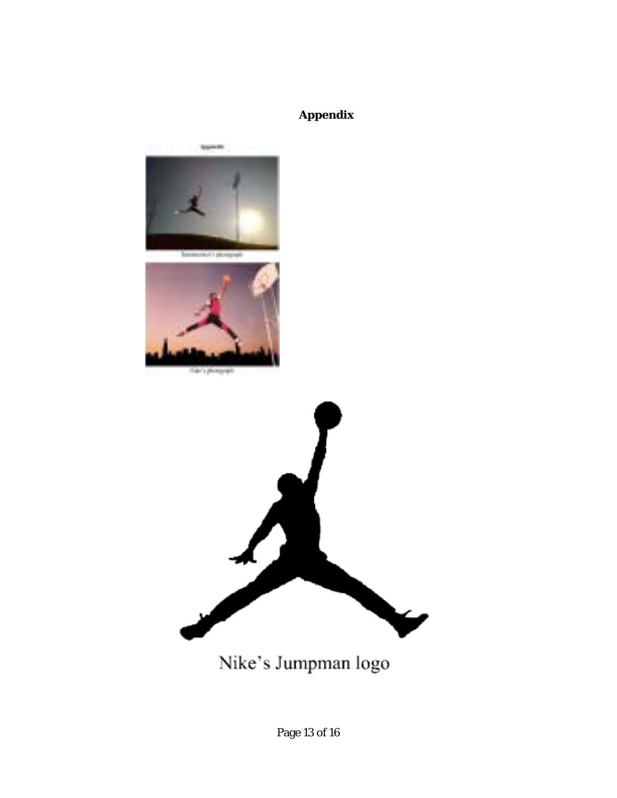# **Appendix**



Nike's Jumpman logo

Page 13 of 16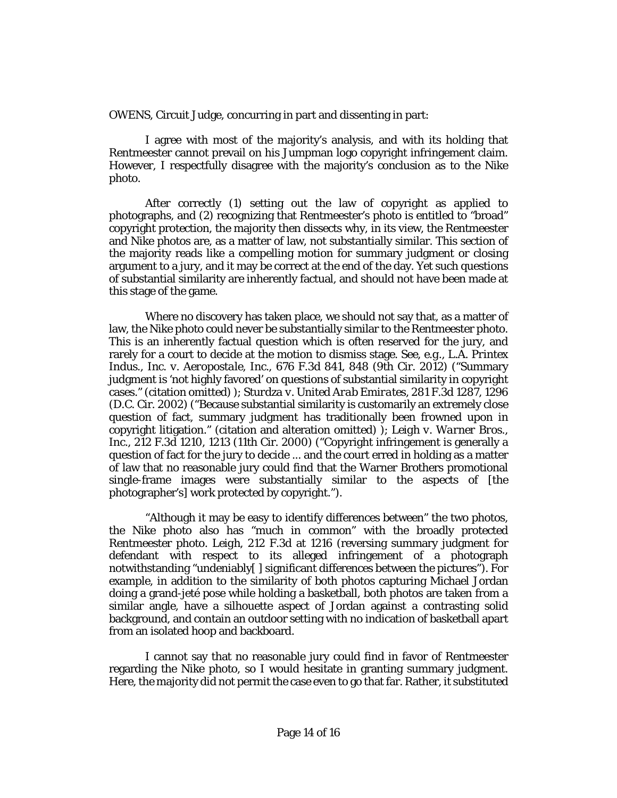[OWENS,](http://www.westlaw.com/Link/Document/FullText?findType=h&pubNum=176284&cite=0483904801&originatingDoc=Ifed6ff401bdf11e891a4cc39e61c2da0&refType=RQ&originationContext=document&vr=3.0&rs=cblt1.0&transitionType=DocumentItem&contextData=(sc.Search)) Circuit Judge, concurring in part and dissenting in part:

I agree with most of the majority's analysis, and with its holding that Rentmeester cannot prevail on his Jumpman logo copyright infringement claim. However, I respectfully disagree with the majority's conclusion as to the Nike photo.

After correctly (1) setting out the law of copyright as applied to photographs, and (2) recognizing that Rentmeester's photo is entitled to "broad" copyright protection, the majority then dissects why, in its view, the Rentmeester and Nike photos are, as a matter of law, not substantially similar. This section of the majority reads like a compelling motion for summary judgment or closing argument to a jury, and it may be correct at the end of the day. Yet such questions of substantial similarity are inherently factual, and should not have been made at this stage of the game.

Where no discovery has taken place, we should not say that, as a matter of law, the Nike photo could never be substantially similar to the Rentmeester photo. This is an inherently factual question which is often reserved for the jury, and rarely for a court to decide at the motion to dismiss stage. *See, e.g.*, *[L.A. Printex](http://www.westlaw.com/Link/Document/FullText?findType=Y&serNum=2027459957&pubNum=0000506&originatingDoc=Ifed6ff401bdf11e891a4cc39e61c2da0&refType=RP&fi=co_pp_sp_506_848&originationContext=document&vr=3.0&rs=cblt1.0&transitionType=DocumentItem&contextData=(sc.Search)#co_pp_sp_506_848)  Indus., Inc. v. Aeropostale, Inc.*[, 676 F.3d 841, 848 \(9th Cir. 2012\)](http://www.westlaw.com/Link/Document/FullText?findType=Y&serNum=2027459957&pubNum=0000506&originatingDoc=Ifed6ff401bdf11e891a4cc39e61c2da0&refType=RP&fi=co_pp_sp_506_848&originationContext=document&vr=3.0&rs=cblt1.0&transitionType=DocumentItem&contextData=(sc.Search)#co_pp_sp_506_848) ("Summary judgment is 'not highly favored' on questions of substantial similarity in copyright cases." (citation omitted) ); *[Sturdza v. United Arab Emirates](http://www.westlaw.com/Link/Document/FullText?findType=Y&serNum=2002142954&pubNum=0000506&originatingDoc=Ifed6ff401bdf11e891a4cc39e61c2da0&refType=RP&fi=co_pp_sp_506_1296&originationContext=document&vr=3.0&rs=cblt1.0&transitionType=DocumentItem&contextData=(sc.Search)#co_pp_sp_506_1296)*, 281 F.3d 1287, 1296 [\(D.C. Cir. 2002\)](http://www.westlaw.com/Link/Document/FullText?findType=Y&serNum=2002142954&pubNum=0000506&originatingDoc=Ifed6ff401bdf11e891a4cc39e61c2da0&refType=RP&fi=co_pp_sp_506_1296&originationContext=document&vr=3.0&rs=cblt1.0&transitionType=DocumentItem&contextData=(sc.Search)#co_pp_sp_506_1296) ("Because substantial similarity is customarily an extremely close question of fact, summary judgment has traditionally been frowned upon in copyright litigation." (citation and alteration omitted) ); *[Leigh v. Warner Bros.,](http://www.westlaw.com/Link/Document/FullText?findType=Y&serNum=2000361878&pubNum=0000506&originatingDoc=Ifed6ff401bdf11e891a4cc39e61c2da0&refType=RP&fi=co_pp_sp_506_1213&originationContext=document&vr=3.0&rs=cblt1.0&transitionType=DocumentItem&contextData=(sc.Search)#co_pp_sp_506_1213)  Inc.*[, 212 F.3d 1210, 1213 \(11th Cir. 2000\)](http://www.westlaw.com/Link/Document/FullText?findType=Y&serNum=2000361878&pubNum=0000506&originatingDoc=Ifed6ff401bdf11e891a4cc39e61c2da0&refType=RP&fi=co_pp_sp_506_1213&originationContext=document&vr=3.0&rs=cblt1.0&transitionType=DocumentItem&contextData=(sc.Search)#co_pp_sp_506_1213) ("Copyright infringement is generally a question of fact for the jury to decide ... and the court erred in holding as a matter of law that no reasonable jury could find that the Warner Brothers promotional single-frame images were substantially similar to the aspects of [the photographer's] work protected by copyright.").

"Although it may be easy to identify differences between" the two photos, the Nike photo also has "much in common" with the broadly protected Rentmeester photo. *Leigh*[, 212 F.3d at 1216](http://www.westlaw.com/Link/Document/FullText?findType=Y&serNum=2000361878&pubNum=0000506&originatingDoc=Ifed6ff401bdf11e891a4cc39e61c2da0&refType=RP&fi=co_pp_sp_506_1216&originationContext=document&vr=3.0&rs=cblt1.0&transitionType=DocumentItem&contextData=(sc.Search)#co_pp_sp_506_1216) (reversing summary judgment for defendant with respect to its alleged infringement of a photograph notwithstanding "undeniably[ ] significant differences between the pictures"). For example, in addition to the similarity of both photos capturing Michael Jordan doing a grand-jeté pose while holding a basketball, both photos are taken from a similar angle, have a silhouette aspect of Jordan against a contrasting solid background, and contain an outdoor setting with no indication of basketball apart from an isolated hoop and backboard.

I cannot say that no reasonable jury could find in favor of Rentmeester regarding the Nike photo, so I would hesitate in granting summary judgment. Here, the majority did not permit the case even to go that far. Rather, it substituted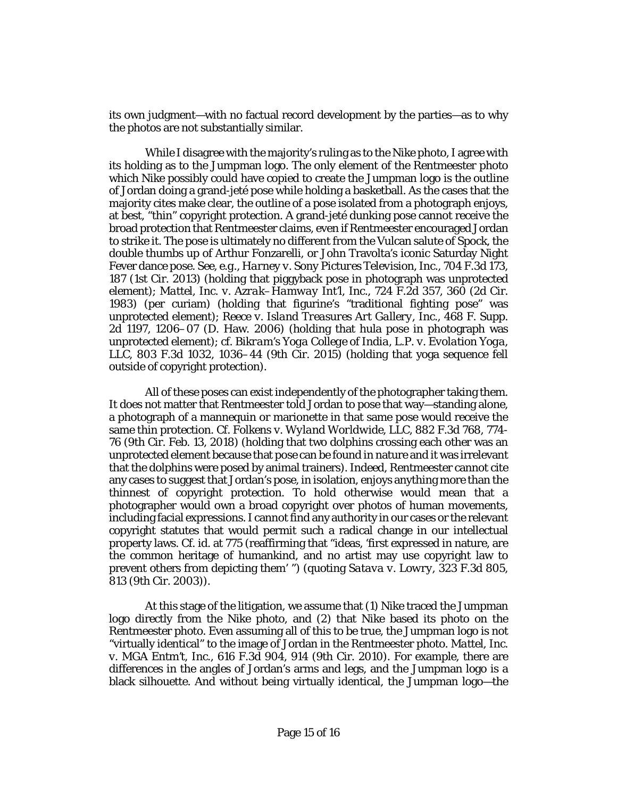its own judgment—with no factual record development by the parties—as to why the photos are not substantially similar.

While I disagree with the majority's ruling as to the Nike photo, I agree with its holding as to the Jumpman logo. The only element of the Rentmeester photo which Nike possibly could have copied to create the Jumpman logo is the outline of Jordan doing a grand-jeté pose while holding a basketball. As the cases that the majority cites make clear, the outline of a pose isolated from a photograph enjoys, at best, "thin" copyright protection. A grand-jeté dunking pose cannot receive the broad protection that Rentmeester claims, even if Rentmeester encouraged Jordan to strike it. The pose is ultimately no different from the Vulcan salute of Spock, the double thumbs up of Arthur Fonzarelli, or John Travolta's iconic Saturday Night Fever dance pose. *See, e.g.*, *[Harney v. Sony Pictures Television, Inc.](http://www.westlaw.com/Link/Document/FullText?findType=Y&serNum=2029581125&pubNum=0000506&originatingDoc=Ifed6ff401bdf11e891a4cc39e61c2da0&refType=RP&fi=co_pp_sp_506_187&originationContext=document&vr=3.0&rs=cblt1.0&transitionType=DocumentItem&contextData=(sc.Search)#co_pp_sp_506_187)*, 704 F.3d 173, [187 \(1st Cir. 2013\)](http://www.westlaw.com/Link/Document/FullText?findType=Y&serNum=2029581125&pubNum=0000506&originatingDoc=Ifed6ff401bdf11e891a4cc39e61c2da0&refType=RP&fi=co_pp_sp_506_187&originationContext=document&vr=3.0&rs=cblt1.0&transitionType=DocumentItem&contextData=(sc.Search)#co_pp_sp_506_187) (holding that piggyback pose in photograph was unprotected element); *[Mattel, Inc. v. Azrak–Hamway Int'l, Inc.](http://www.westlaw.com/Link/Document/FullText?findType=Y&serNum=1984101450&pubNum=0000350&originatingDoc=Ifed6ff401bdf11e891a4cc39e61c2da0&refType=RP&fi=co_pp_sp_350_360&originationContext=document&vr=3.0&rs=cblt1.0&transitionType=DocumentItem&contextData=(sc.Search)#co_pp_sp_350_360)*, 724 F.2d 357, 360 (2d Cir. [1983\)](http://www.westlaw.com/Link/Document/FullText?findType=Y&serNum=1984101450&pubNum=0000350&originatingDoc=Ifed6ff401bdf11e891a4cc39e61c2da0&refType=RP&fi=co_pp_sp_350_360&originationContext=document&vr=3.0&rs=cblt1.0&transitionType=DocumentItem&contextData=(sc.Search)#co_pp_sp_350_360) (per curiam) (holding that figurine's "traditional fighting pose" was unprotected element); *[Reece v. Island Treasures Art Gallery, Inc.](http://www.westlaw.com/Link/Document/FullText?findType=Y&serNum=2010991985&pubNum=0004637&originatingDoc=Ifed6ff401bdf11e891a4cc39e61c2da0&refType=RP&fi=co_pp_sp_4637_1206&originationContext=document&vr=3.0&rs=cblt1.0&transitionType=DocumentItem&contextData=(sc.Search)#co_pp_sp_4637_1206)*, 468 F. Supp. [2d 1197, 1206–07 \(D. Haw. 2006\)](http://www.westlaw.com/Link/Document/FullText?findType=Y&serNum=2010991985&pubNum=0004637&originatingDoc=Ifed6ff401bdf11e891a4cc39e61c2da0&refType=RP&fi=co_pp_sp_4637_1206&originationContext=document&vr=3.0&rs=cblt1.0&transitionType=DocumentItem&contextData=(sc.Search)#co_pp_sp_4637_1206) (holding that hula pose in photograph was unprotected element); *cf. [Bikram's Yoga College of India, L.P. v. Evolation Yoga,](http://www.westlaw.com/Link/Document/FullText?findType=Y&serNum=2037334947&pubNum=0000506&originatingDoc=Ifed6ff401bdf11e891a4cc39e61c2da0&refType=RP&fi=co_pp_sp_506_1036&originationContext=document&vr=3.0&rs=cblt1.0&transitionType=DocumentItem&contextData=(sc.Search)#co_pp_sp_506_1036)  LLC*[, 803 F.3d 1032, 1036–44 \(9th Cir. 2015\)](http://www.westlaw.com/Link/Document/FullText?findType=Y&serNum=2037334947&pubNum=0000506&originatingDoc=Ifed6ff401bdf11e891a4cc39e61c2da0&refType=RP&fi=co_pp_sp_506_1036&originationContext=document&vr=3.0&rs=cblt1.0&transitionType=DocumentItem&contextData=(sc.Search)#co_pp_sp_506_1036) (holding that yoga sequence fell outside of copyright protection).

All of these poses can exist independently of the photographer taking them. It does not matter that Rentmeester told Jordan to pose that way—standing alone, a photograph of a mannequin or marionette in that same pose would receive the same thin protection. *Cf. Folkens v. Wyland Worldwide, LLC*[, 882 F.3d 768, 774-](http://www.westlaw.com/Link/Document/FullText?findType=Y&serNum=2043808072&pubNum=0000506&originatingDoc=Ifed6ff401bdf11e891a4cc39e61c2da0&refType=RP&fi=co_pp_sp_506_774&originationContext=document&vr=3.0&rs=cblt1.0&transitionType=DocumentItem&contextData=(sc.Search)#co_pp_sp_506_774) 76 [\(9th Cir. Feb. 13, 2018\)](http://www.westlaw.com/Link/Document/FullText?findType=Y&serNum=2043808072&pubNum=0000506&originatingDoc=Ifed6ff401bdf11e891a4cc39e61c2da0&refType=RP&fi=co_pp_sp_506_774&originationContext=document&vr=3.0&rs=cblt1.0&transitionType=DocumentItem&contextData=(sc.Search)#co_pp_sp_506_774) (holding that two dolphins crossing each other was an unprotected element because that pose can be found in nature and it was irrelevant that the dolphins were posed by animal trainers). Indeed, Rentmeester cannot cite any cases to suggest that Jordan's pose, in isolation, enjoys anything more than the thinnest of copyright protection. To hold otherwise would mean that a photographer would own a broad copyright over photos of human movements, including facial expressions. I cannot find any authority in our cases or the relevant copyright statutes that would permit such a radical change in our intellectual property laws. *Cf. id.* [at 775](http://www.westlaw.com/Link/Document/FullText?findType=Y&serNum=2043808072&pubNum=0000999&originatingDoc=Ifed6ff401bdf11e891a4cc39e61c2da0&refType=RP&originationContext=document&vr=3.0&rs=cblt1.0&transitionType=DocumentItem&contextData=(sc.Search)) (reaffirming that "ideas, 'first expressed in nature, are the common heritage of humankind, and no artist may use copyright law to prevent others from depicting them' ") (quoting *[Satava v. Lowry](http://www.westlaw.com/Link/Document/FullText?findType=Y&serNum=2003233155&pubNum=0000506&originatingDoc=Ifed6ff401bdf11e891a4cc39e61c2da0&refType=RP&fi=co_pp_sp_506_813&originationContext=document&vr=3.0&rs=cblt1.0&transitionType=DocumentItem&contextData=(sc.Search)#co_pp_sp_506_813)*, 323 F.3d 805, [813 \(9th Cir. 2003\)\)](http://www.westlaw.com/Link/Document/FullText?findType=Y&serNum=2003233155&pubNum=0000506&originatingDoc=Ifed6ff401bdf11e891a4cc39e61c2da0&refType=RP&fi=co_pp_sp_506_813&originationContext=document&vr=3.0&rs=cblt1.0&transitionType=DocumentItem&contextData=(sc.Search)#co_pp_sp_506_813).

At this stage of the litigation, we assume that (1) Nike traced the Jumpman logo directly from the Nike photo, and (2) that Nike based its photo on the Rentmeester photo. Even assuming all of this to be true, the Jumpman logo is not "virtually identical" to the image of Jordan in the Rentmeester photo. *[Mattel, Inc.](http://www.westlaw.com/Link/Document/FullText?findType=Y&serNum=2022583077&pubNum=0000506&originatingDoc=Ifed6ff401bdf11e891a4cc39e61c2da0&refType=RP&fi=co_pp_sp_506_914&originationContext=document&vr=3.0&rs=cblt1.0&transitionType=DocumentItem&contextData=(sc.Search)#co_pp_sp_506_914)  v. MGA Entm't, Inc.*[, 616 F.3d 904, 914 \(9th Cir. 2010\).](http://www.westlaw.com/Link/Document/FullText?findType=Y&serNum=2022583077&pubNum=0000506&originatingDoc=Ifed6ff401bdf11e891a4cc39e61c2da0&refType=RP&fi=co_pp_sp_506_914&originationContext=document&vr=3.0&rs=cblt1.0&transitionType=DocumentItem&contextData=(sc.Search)#co_pp_sp_506_914) For example, there are differences in the angles of Jordan's arms and legs, and the Jumpman logo is a black silhouette. And without being virtually identical, the Jumpman logo—the